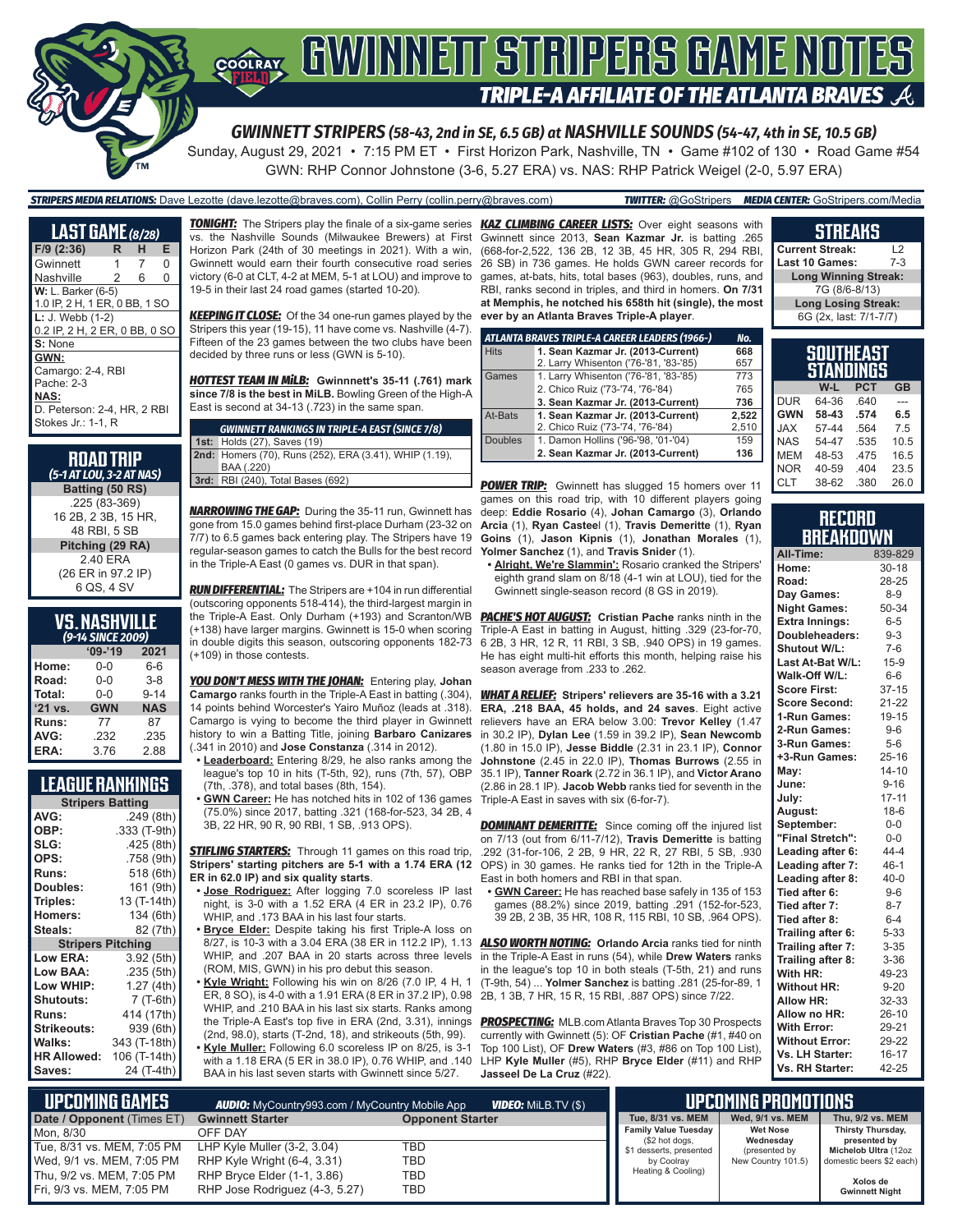

Sunday, August 29, 2021 • 7:15 PM ET • First Horizon Park, Nashville, TN • Game #102 of 130 • Road Game #54 GWN: RHP Connor Johnstone (3-6, 5.27 ERA) vs. NAS: RHP Patrick Weigel (2-0, 5.97 ERA)

*STRIPERS MEDIA RELATIONS:* Dave Lezotte (dave.lezotte@braves.com), Collin Perry (collin.perry@braves.com) *TWITTER:* @GoStripers *MEDIA CENTER:* GoStripers.com/Media

| LAST GAME (8/28)              |   |   |   |
|-------------------------------|---|---|---|
| $F/9$ (2:36)                  | R | н | Е |
| Gwinnett                      | 1 | 7 | 0 |
| Nashville                     | 2 | 6 | 0 |
| W: L. Barker (6-5)            |   |   |   |
| 1.0 IP, 2 H, 1 ER, 0 BB, 1 SO |   |   |   |
| $L: J. Web (1-2)$             |   |   |   |
| 0.2 IP, 2 H, 2 ER, 0 BB, 0 SO |   |   |   |
| S: None                       |   |   |   |
| GWN:                          |   |   |   |
| Camargo: 2-4, RBI             |   |   |   |
| Pache: 2-3                    |   |   |   |
| NAS:                          |   |   |   |
| D. Peterson: 2-4. HR. 2 RBI   |   |   |   |
| Stokes Jr.: 1-1, R            |   |   |   |

| <b>ROAD TRIP</b><br>(5-1 AT LOU, 3-2 AT NAS) |
|----------------------------------------------|
| Batting (50 RS)                              |
| .225 (83-369)                                |
| 16 2B, 2 3B, 15 HR,                          |
| 48 RBI, 5 SB                                 |

**Pitching (29 RA)** 2.40 ERA (26 ER in 97.2 IP) 6 QS, 4 SV

### **VS. NASHVILLE**  *(9-14 SINCE 2009)*

| ------     |            |  |  |  |  |
|------------|------------|--|--|--|--|
| $09 - 19$  | 2021       |  |  |  |  |
| $0 - 0$    | $6-6$      |  |  |  |  |
| $0 - 0$    | $3 - 8$    |  |  |  |  |
| $0 - 0$    | $9 - 14$   |  |  |  |  |
| <b>GWN</b> | <b>NAS</b> |  |  |  |  |
| 77         | 87         |  |  |  |  |
| .232       | .235       |  |  |  |  |
| 3.76       | 2.88       |  |  |  |  |
|            |            |  |  |  |  |

### **LEAGUE RANKINGS**

| <b>Stripers Batting</b>  |              |  |  |  |
|--------------------------|--------------|--|--|--|
| AVG:                     | .249 (8th)   |  |  |  |
| OBP:                     | .333 (T-9th) |  |  |  |
| SLG:                     | .425 (8th)   |  |  |  |
| OPS:                     | .758 (9th)   |  |  |  |
| <b>Runs:</b>             | 518 (6th)    |  |  |  |
| Doubles:                 | 161 (9th)    |  |  |  |
| Triples:                 | 13 (T-14th)  |  |  |  |
| <b>Homers:</b>           | 134 (6th)    |  |  |  |
| Steals:                  | 82 (7th)     |  |  |  |
| <b>Stripers Pitching</b> |              |  |  |  |
| <b>Low ERA:</b>          | 3.92 (5th)   |  |  |  |
| <b>Low BAA:</b>          | .235 (5th)   |  |  |  |
| Low WHIP:                | 1.27 (4th)   |  |  |  |
| <b>Shutouts:</b>         | 7 (T-6th)    |  |  |  |
| Runs:                    | 414 (17th)   |  |  |  |
| <b>Strikeouts:</b>       | 939 (6th)    |  |  |  |
| Walks:                   | 343 (T-18th) |  |  |  |
| <b>HR Allowed:</b>       | 106 (T-14th) |  |  |  |
| Saves:                   | 24 (T-4th)   |  |  |  |

vs. the Nashville Sounds (Milwaukee Brewers) at First Horizon Park (24th of 30 meetings in 2021). With a win, Gwinnett would earn their fourth consecutive road series victory (6-0 at CLT, 4-2 at MEM, 5-1 at LOU) and improve to 19-5 in their last 24 road games (started 10-20).

*KEEPING IT CLOSE:* Of the 34 one-run games played by the Stripers this year (19-15), 11 have come vs. Nashville (4-7). Fifteen of the 23 games between the two clubs have been decided by three runs or less (GWN is 5-10).

*HOTTEST TEAM IN MiLB:* **Gwinnnett's 35-11 (.761) mark since 7/8 is the best in MiLB.** Bowling Green of the High-A East is second at 34-13 (.723) in the same span.

|  | <b>GWINNETT RANKINGS IN TRIPLE-A EAST (SINCE 7/8)</b>  |
|--|--------------------------------------------------------|
|  | <b>1st: Holds (27), Saves (19)</b>                     |
|  | 2nd: Homers (70), Runs (252), ERA (3.41), WHIP (1.19), |
|  | BAA (.220)                                             |
|  | 3rd: RBI (240), Total Bases (692)                      |

*NARROWING THE GAP:* During the 35-11 run, Gwinnett has gone from 15.0 games behind first-place Durham (23-32 on 7/7) to 6.5 games back entering play. The Stripers have 19 regular-season games to catch the Bulls for the best record in the Triple-A East (0 games vs. DUR in that span).

*RUN DIFFERENTIAL:* The Stripers are +104 in run differential (outscoring opponents 518-414), the third-largest margin in the Triple-A East. Only Durham (+193) and Scranton/WB (+138) have larger margins. Gwinnett is 15-0 when scoring in double digits this season, outscoring opponents 182-73 (+109) in those contests.

*YOU DON'T MESS WITH THE JOHAN:* Entering play, **Johan Camargo** ranks fourth in the Triple-A East in batting (.304), 14 points behind Worcester's Yairo Muñoz (leads at .318). Camargo is vying to become the third player in Gwinnett history to win a Batting Title, joining **Barbaro Canizares** (.341 in 2010) and **Jose Constanza** (.314 in 2012).

- **• Leaderboard:** Entering 8/29, he also ranks among the league's top 10 in hits (T-5th, 92), runs (7th, 57), OBP (7th, .378), and total bases (8th, 154).
- **• GWN Career:** He has notched hits in 102 of 136 games (75.0%) since 2017, batting .321 (168-for-523, 34 2B, 4 3B, 22 HR, 90 R, 90 RBI, 1 SB, .913 OPS).

**STIFLING STARTERS:** Through 11 games on this road trip, **Stripers' starting pitchers are 5-1 with a 1.74 ERA (12 ER in 62.0 IP) and six quality starts**.

- **• Jose Rodriguez:** After logging 7.0 scoreless IP last night, is 3-0 with a 1.52 ERA (4 ER in 23.2 IP), 0.76 WHIP, and .173 BAA in his last four starts.
- **• Bryce Elder:** Despite taking his first Triple-A loss on WHIP, and .207 BAA in 20 starts across three levels (ROM, MIS, GWN) in his pro debut this season.
- **• Kyle Wright:** Following his win on 8/26 (7.0 IP, 4 H, 1 ER, 8 SO), is 4-0 with a 1.91 ERA (8 ER in 37.2 IP), 0.98 WHIP, and .210 BAA in his last six starts. Ranks among the Triple-A East's top five in ERA (2nd, 3.31), innings (2nd, 98.0), starts (T-2nd, 18), and strikeouts (5th, 99). **• Kyle Muller:** Following 6.0 scoreless IP on 8/25, is 3-1 with a 1.18 ERA (5 ER in 38.0 IP), 0.76 WHIP, and .140
- BAA in his last seven starts with Gwinnett since 5/27.

*TONIGHT:* The Stripers play the finale of a six-game series *KAZ CLIMBING CAREER LISTS:* Over eight seasons with Gwinnett since 2013, **Sean Kazmar Jr.** is batting .265 (668-for-2,522, 136 2B, 12 3B, 45 HR, 305 R, 294 RBI, 26 SB) in 736 games. He holds GWN career records for games, at-bats, hits, total bases (963), doubles, runs, and RBI, ranks second in triples, and third in homers. **On 7/31 at Memphis, he notched his 658th hit (single), the most ever by an Atlanta Braves Triple-A player**.

|             | ATLANTA BRAVES TRIPLE-A CAREER LEADERS (1966-) | No.   |
|-------------|------------------------------------------------|-------|
| <b>Hits</b> | 1. Sean Kazmar Jr. (2013-Current)              | 668   |
|             | 2. Larry Whisenton ('76-'81, '83-'85)          | 657   |
| Games       | 1. Larry Whisenton ('76-'81, '83-'85)          | 773   |
|             | 2. Chico Ruiz ('73-'74, '76-'84)               | 765   |
|             | 3. Sean Kazmar Jr. (2013-Current)              | 736   |
| At-Bats     | 1. Sean Kazmar Jr. (2013-Current)              | 2.522 |
|             | 2. Chico Ruiz ('73-'74, '76-'84)               | 2,510 |
| Doubles     | 1. Damon Hollins ('96-'98, '01-'04)            | 159   |
|             | 2. Sean Kazmar Jr. (2013-Current)              | 136   |

**POWER TRIP:** Gwinnett has slugged 15 homers over 11 CLT games on this road trip, with 10 different players going deep: **Eddie Rosario** (4), **Johan Camargo** (3), **Orlando Arcia** (1), **Ryan Castee**l (1), **Travis Demeritte** (1), **Ryan Goins** (1), **Jason Kipnis** (1), **Jonathan Morales** (1), **Yolmer Sanchez** (1), and **Travis Snider** (1).

**• Alright, We're Slammin':** Rosario cranked the Stripers' eighth grand slam on 8/18 (4-1 win at LOU), tied for the Gwinnett single-season record (8 GS in 2019).

**PACHE'S HOT AUGUST:** Cristian Pache ranks ninth in the Triple-A East in batting in August, hitting .329 (23-for-70, 6 2B, 3 HR, 12 R, 11 RBI, 3 SB, .940 OPS) in 19 games. He has eight multi-hit efforts this month, helping raise his season average from .233 to .262.

*WHAT A RELIEF:* **Stripers' relievers are 35-16 with a 3.21 ERA, .218 BAA, 45 holds, and 24 saves**. Eight active relievers have an ERA below 3.00: **Trevor Kelley** (1.47 in 30.2 IP), **Dylan Lee** (1.59 in 39.2 IP), **Sean Newcomb** (1.80 in 15.0 IP), **Jesse Biddle** (2.31 in 23.1 IP), **Connor Johnstone** (2.45 in 22.0 IP), **Thomas Burrows** (2.55 in 35.1 IP), **Tanner Roark** (2.72 in 36.1 IP), and **Victor Arano** (2.86 in 28.1 IP). **Jacob Webb** ranks tied for seventh in the Triple-A East in saves with six (6-for-7).

**DOMINANT DEMERITTE:** Since coming off the injured list on 7/13 (out from 6/11-7/12), **Travis Demeritte** is batting .292 (31-for-106, 2 2B, 9 HR, 22 R, 27 RBI, 5 SB, .930 OPS) in 30 games. He ranks tied for 12th in the Triple-A East in both homers and RBI in that span.

**• GWN Career:** He has reached base safely in 135 of 153 games (88.2%) since 2019, batting .291 (152-for-523, 39 2B, 2 3B, 35 HR, 108 R, 115 RBI, 10 SB, .964 OPS).

8/27, is 10-3 with a 3.04 ERA (38 ER in 112.2 IP), 1.13 *ALSO WORTH NOTING:* **Orlando Arcia** ranks tied for ninth in the Triple-A East in runs (54), while **Drew Waters** ranks in the league's top 10 in both steals (T-5th, 21) and runs (T-9th, 54) ... **Yolmer Sanchez** is batting .281 (25-for-89, 1 2B, 1 3B, 7 HR, 15 R, 15 RBI, .887 OPS) since 7/22.

> *PROSPECTING:* MLB.com Atlanta Braves Top 30 Prospects currently with Gwinnett (5): OF **Cristian Pache** (#1, #40 on Top 100 List), OF **Drew Waters** (#3, #86 on Top 100 List), LHP **Kyle Muller** (#5), RHP **Bryce Elder** (#11) and RHP **Jasseel De La Cruz** (#22).

### **STREAKS Current Streak:** L2 **Last 10 Games: Long Winning Streak:**

7G (8/6-8/13) **Long Losing Streak:** 6G (2x, last: 7/1-7/7)

| <b>SOUTHEAST</b><br>STANDINGS |       |            |           |  |  |
|-------------------------------|-------|------------|-----------|--|--|
|                               | W-L   | <b>PCT</b> | <b>GB</b> |  |  |
| <b>DUR</b>                    | 64-36 | .640       |           |  |  |
| <b>GWN</b>                    | 58-43 | .574       | 6.5       |  |  |
| <b>XAL</b>                    | 57-44 | .564       | 7.5       |  |  |
| <b>NAS</b>                    | 54-47 | .535       | 10.5      |  |  |
| <b>MEM</b>                    | 48-53 | .475       | 16.5      |  |  |
| <b>NOR</b>                    | 40-59 | .404       | 23.5      |  |  |
| <b>CLT</b>                    | 38-62 | .380       | 26.0      |  |  |

### **RECORD BREAKDOWN**

| All-Time:             | 839-829   |
|-----------------------|-----------|
| Home:                 | $30 - 18$ |
| Road:                 | 28-25     |
| Day Games:            | $8 - 9$   |
| <b>Night Games:</b>   | 50-34     |
| <b>Extra Innings:</b> | $6 - 5$   |
| Doubleheaders:        | $9 - 3$   |
| Shutout W/L:          | $7-6$     |
| Last At-Bat W/L:      | $15-9$    |
| Walk-Off W/L:         | $6-6$     |
| <b>Score First:</b>   | $37 - 15$ |
| <b>Score Second:</b>  | $21 - 22$ |
| 1-Run Games:          | $19 - 15$ |
| 2-Run Games:          | $9-6$     |
| 3-Run Games:          | $5-6$     |
| +3-Run Games:         | $25 - 16$ |
| May:                  | $14 - 10$ |
| June:                 | $9 - 16$  |
| July:                 | $17 - 11$ |
| August:               | $18-6$    |
| September:            | $0-0$     |
| "Final Stretch":      | $0-0$     |
| Leading after 6:      | $44 - 4$  |
| Leading after 7:      | $46 - 1$  |
| Leading after 8:      | $40 - 0$  |
| Tied after 6:         | $9-6$     |
| Tied after 7:         | $8 - 7$   |
| Tied after 8:         | $6 - 4$   |
| Trailing after 6:     | $5 - 33$  |
| Trailing after 7:     | $3 - 35$  |
| Trailing after 8:     | $3 - 36$  |
| With HR:              | 49-23     |
| <b>Without HR:</b>    | $9 - 20$  |
| <b>Allow HR:</b>      | 32-33     |
| Allow no HR:          | $26 - 10$ |
| <b>With Error:</b>    | 29-21     |
| <b>Without Error:</b> | 29-22     |
| Vs. LH Starter:       | $16 - 17$ |
| Vs. RH Starter:       | 42-25     |

| L UPCOMING GAMES <b>I</b><br><b>AUDIO:</b> MyCountry993.com / MyCountry Mobile App<br><b>VIDEO:</b> MILB.TV (\$) |                                |                         |                                               | <b>UPCOMING PROMOTIONS</b>   |                                   |
|------------------------------------------------------------------------------------------------------------------|--------------------------------|-------------------------|-----------------------------------------------|------------------------------|-----------------------------------|
| Date / Opponent (Times ET)                                                                                       | <b>Gwinnett Starter</b>        | <b>Opponent Starter</b> | Tue, 8/31 vs. MEM                             | Wed, 9/1 vs. MEM             | Thu, 9/2 vs. MEM                  |
| Mon. 8/30                                                                                                        | OFF DAY                        |                         | <b>Family Value Tuesday</b><br>(\$2 hot dogs, | <b>Wet Nose</b><br>Wednesday | Thirsty Thursday,<br>presented by |
| Tue, 8/31 vs. MEM, 7:05 PM                                                                                       | LHP Kyle Muller (3-2, 3.04)    | TBD                     | \$1 desserts, presented                       | (presented by                | Michelob Ultra (12oz              |
| Wed, 9/1 vs. MEM, 7:05 PM                                                                                        | RHP Kyle Wright (6-4, 3.31)    | TBD                     | by Coolray                                    | New Country 101.5)           | domestic beers \$2 each)          |
| Thu, 9/2 vs. MEM, 7:05 PM                                                                                        | RHP Bryce Elder (1-1, 3.86)    | TBD                     | Heating & Cooling)                            |                              | Xolos de                          |
| Fri, 9/3 vs. MEM, 7:05 PM                                                                                        | RHP Jose Rodriguez (4-3, 5.27) | TBD                     |                                               |                              | <b>Gwinnett Night</b>             |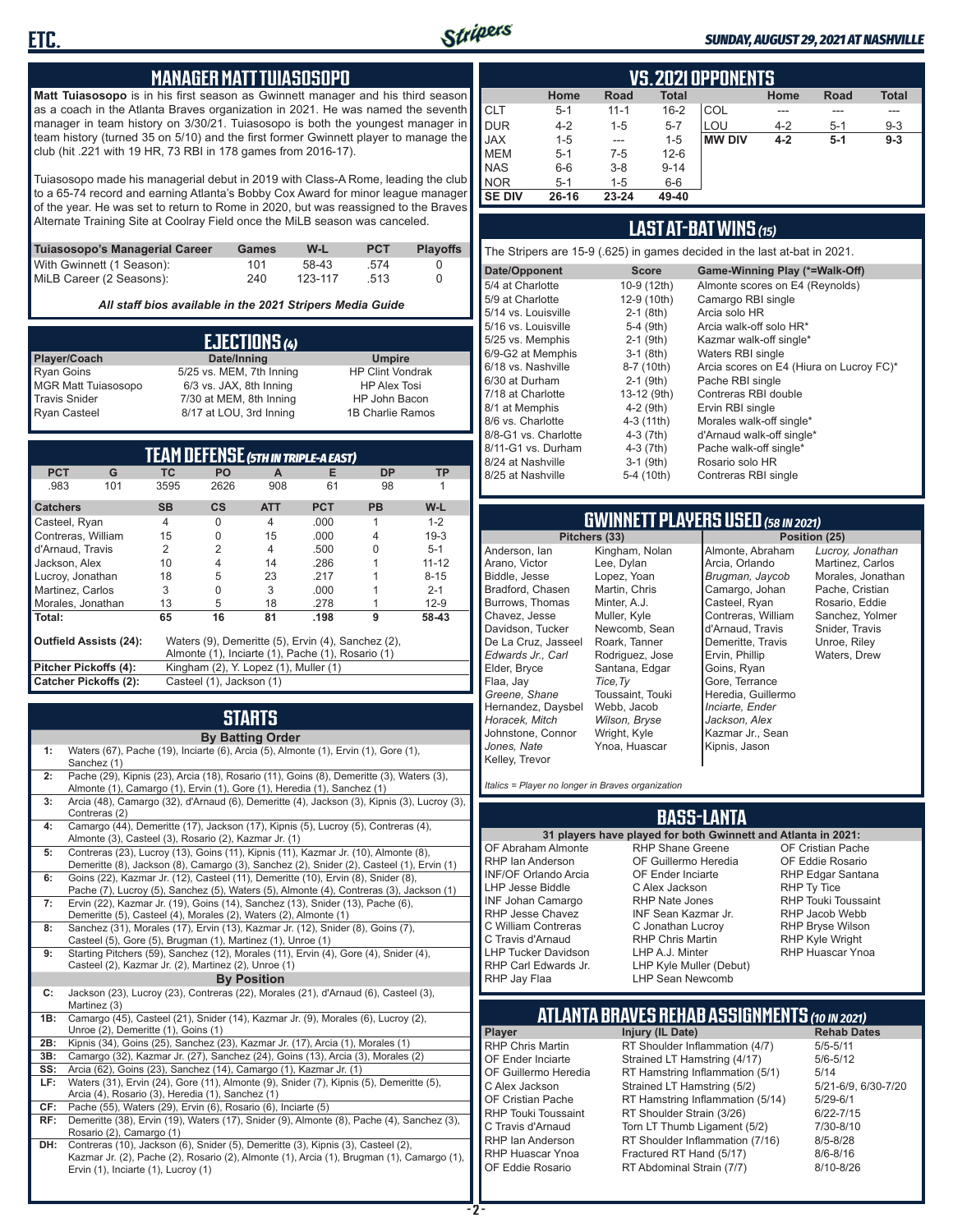

### *SUNDAY, AUGUST 29, 2021 AT NASHVILLE*

### **MANAGER MATT TUIASOSOPO**

**Matt Tuiasosopo** is in his first season as Gwinnett manager and his third season as a coach in the Atlanta Braves organization in 2021. He was named the seventh manager in team history on 3/30/21. Tuiasosopo is both the youngest manager in team history (turned 35 on 5/10) and the first former Gwinnett player to manage the club (hit .221 with 19 HR, 73 RBI in 178 games from 2016-17).

Tuiasosopo made his managerial debut in 2019 with Class-A Rome, leading the club to a 65-74 record and earning Atlanta's Bobby Cox Award for minor league manager of the year. He was set to return to Rome in 2020, but was reassigned to the Braves Alternate Training Site at Coolray Field once the MiLB season was canceled.

| Tuiasosopo's Managerial Career | Games | W-L     | <b>PCT</b> | <b>Playoffs</b> |
|--------------------------------|-------|---------|------------|-----------------|
| With Gwinnett (1 Season):      | 101   | 58-43   | - 574      |                 |
| MiLB Career (2 Seasons):       | 240   | 123-117 | -513       |                 |

*All staff bios available in the 2021 Stripers Media Guide*

| EJECTIONS (4)              |                          |                         |  |  |
|----------------------------|--------------------------|-------------------------|--|--|
| Player/Coach               | Date/Inning              | <b>Umpire</b>           |  |  |
| <b>Ryan Goins</b>          | 5/25 vs. MEM, 7th Inning | <b>HP Clint Vondrak</b> |  |  |
| <b>MGR Matt Tuiasosopo</b> | 6/3 vs. JAX, 8th Inning  | <b>HP Alex Tosi</b>     |  |  |
| <b>Travis Snider</b>       | 7/30 at MEM, 8th Inning  | HP John Bacon           |  |  |
| <b>Ryan Casteel</b>        | 8/17 at LOU, 3rd Inning  | 1B Charlie Ramos        |  |  |

| <b>TEAM DEFENSE (5TH IN TRIPLE-A EAST)</b> |                                                                                     |                                                   |           |                |            |           |           |
|--------------------------------------------|-------------------------------------------------------------------------------------|---------------------------------------------------|-----------|----------------|------------|-----------|-----------|
| <b>PCT</b>                                 | G                                                                                   | <b>TC</b>                                         | <b>PO</b> | A              | Е          | <b>DP</b> | TP        |
| .983                                       | 101                                                                                 | 3595                                              | 2626      | 908            | 61         | 98        |           |
| <b>Catchers</b>                            |                                                                                     | <b>SB</b>                                         | <b>CS</b> | <b>ATT</b>     | <b>PCT</b> | <b>PB</b> | W-L       |
| Casteel, Ryan                              |                                                                                     | $\overline{4}$                                    | $\Omega$  | $\overline{4}$ | .000.      | 1         | $1 - 2$   |
| Contreras, William                         |                                                                                     | 15                                                | O         | 15             | .000.      | 4         | $19-3$    |
| d'Arnaud, Travis                           |                                                                                     | 2                                                 | 2         | $\overline{4}$ | .500       |           | $5 - 1$   |
| Jackson, Alex                              |                                                                                     | 10                                                | 4         | 14             | .286       |           | $11 - 12$ |
| Lucroy, Jonathan                           |                                                                                     | 18                                                | 5         | 23             | .217       |           | $8 - 15$  |
| Martinez, Carlos                           |                                                                                     | 3                                                 | O         | 3              | .000.      |           | $2 - 1$   |
| Morales, Jonathan                          |                                                                                     | 13                                                | 5         | 18             | .278       |           | $12-9$    |
| Total:                                     |                                                                                     | 65                                                | 16        | 81             | .198       | 9         | 58-43     |
|                                            | <b>Outfield Assists (24):</b><br>Waters (9), Demeritte (5), Ervin (4), Sanchez (2), |                                                   |           |                |            |           |           |
|                                            |                                                                                     | Almonte (1), Inciarte (1), Pache (1), Rosario (1) |           |                |            |           |           |
| Pitcher Pickoffs (4):                      |                                                                                     | Kingham (2), Y. Lopez (1), Muller (1)             |           |                |            |           |           |
| <b>Catcher Pickoffs (2):</b>               |                                                                                     | Casteel (1), Jackson (1)                          |           |                |            |           |           |

# **STARTS**

|     | <b>By Batting Order</b>                                                                                                                                                                                              |
|-----|----------------------------------------------------------------------------------------------------------------------------------------------------------------------------------------------------------------------|
| 1:  | Waters (67), Pache (19), Inciarte (6), Arcia (5), Almonte (1), Ervin (1), Gore (1),<br>Sanchez (1)                                                                                                                   |
| 2:  | Pache (29), Kipnis (23), Arcia (18), Rosario (11), Goins (8), Demeritte (3), Waters (3),<br>Almonte (1), Camargo (1), Ervin (1), Gore (1), Heredia (1), Sanchez (1)                                                  |
| 3:  | Arcia (48), Camargo (32), d'Arnaud (6), Demeritte (4), Jackson (3), Kipnis (3), Lucroy (3),<br>Contreras (2)                                                                                                         |
| 4:  | Camargo (44), Demeritte (17), Jackson (17), Kipnis (5), Lucroy (5), Contreras (4),<br>Almonte (3), Casteel (3), Rosario (2), Kazmar Jr. (1)                                                                          |
| 5:  | Contreras (23), Lucroy (13), Goins (11), Kipnis (11), Kazmar Jr. (10), Almonte (8),<br>Demeritte (8), Jackson (8), Camargo (3), Sanchez (2), Snider (2), Casteel (1), Ervin (1)                                      |
| 6:  | Goins (22), Kazmar Jr. (12), Casteel (11), Demeritte (10), Ervin (8), Snider (8),<br>Pache (7), Lucroy (5), Sanchez (5), Waters (5), Almonte (4), Contreras (3), Jackson (1)                                         |
| 7:  | Ervin (22), Kazmar Jr. (19), Goins (14), Sanchez (13), Snider (13), Pache (6),<br>Demeritte (5), Casteel (4), Morales (2), Waters (2), Almonte (1)                                                                   |
| 8:  | Sanchez (31), Morales (17), Ervin (13), Kazmar Jr. (12), Snider (8), Goins (7),<br>Casteel (5), Gore (5), Brugman (1), Martinez (1), Unroe (1)                                                                       |
| 9:  | Starting Pitchers (59), Sanchez (12), Morales (11), Ervin (4), Gore (4), Snider (4),<br>Casteel (2), Kazmar Jr. (2), Martinez (2), Unroe (1)                                                                         |
|     | <b>By Position</b>                                                                                                                                                                                                   |
| C:  | Jackson (23), Lucroy (23), Contreras (22), Morales (21), d'Arnaud (6), Casteel (3),<br>Martinez (3)                                                                                                                  |
| 1B: | Camargo (45), Casteel (21), Snider (14), Kazmar Jr. (9), Morales (6), Lucroy (2),<br>Unroe (2), Demeritte (1), Goins (1)                                                                                             |
| 2B: | Kipnis (34), Goins (25), Sanchez (23), Kazmar Jr. (17), Arcia (1), Morales (1)                                                                                                                                       |
| 3B: | Camargo (32), Kazmar Jr. (27), Sanchez (24), Goins (13), Arcia (3), Morales (2)                                                                                                                                      |
| SS: | Arcia (62), Goins (23), Sanchez (14), Camargo (1), Kazmar Jr. (1)                                                                                                                                                    |
| LF: | Waters (31), Ervin (24), Gore (11), Almonte (9), Snider (7), Kipnis (5), Demeritte (5),                                                                                                                              |
|     | Arcia (4), Rosario (3), Heredia (1), Sanchez (1)                                                                                                                                                                     |
| CF: | Pache (55), Waters (29), Ervin (6), Rosario (6), Inciarte (5)                                                                                                                                                        |
| RF: | Demeritte (38), Ervin (19), Waters (17), Snider (9), Almonte (8), Pache (4), Sanchez (3),<br>Rosario (2), Camargo (1)                                                                                                |
| DH: | Contreras (10), Jackson (6), Snider (5), Demeritte (3), Kipnis (3), Casteel (2),<br>Kazmar Jr. (2), Pache (2), Rosario (2), Almonte (1), Arcia (1), Brugman (1), Camargo (1),<br>Ervin (1), Inciarte (1), Lucroy (1) |

|               | <b>VS.2021 OPPONENTS</b>                                                   |           |          |               |         |         |         |  |  |  |  |  |  |  |  |
|---------------|----------------------------------------------------------------------------|-----------|----------|---------------|---------|---------|---------|--|--|--|--|--|--|--|--|
|               | <b>Total</b><br><b>Total</b><br><b>Road</b><br>Home<br>Home<br><b>Road</b> |           |          |               |         |         |         |  |  |  |  |  |  |  |  |
| <b>CLT</b>    | $5 - 1$                                                                    | $11 - 1$  | $16 - 2$ | COL           |         |         | ---     |  |  |  |  |  |  |  |  |
| DUR           | $4 - 2$                                                                    | $1 - 5$   | $5 - 7$  | LOU           | $4 - 2$ | $5 - 1$ | $9 - 3$ |  |  |  |  |  |  |  |  |
| <b>JAX</b>    | $1 - 5$                                                                    | ---       | $1 - 5$  | <b>MW DIV</b> | $4 - 2$ | $5-1$   | $9 - 3$ |  |  |  |  |  |  |  |  |
| <b>MEM</b>    | $5 - 1$                                                                    | $7-5$     | $12 - 6$ |               |         |         |         |  |  |  |  |  |  |  |  |
| <b>NAS</b>    | $6-6$                                                                      | $3 - 8$   | $9 - 14$ |               |         |         |         |  |  |  |  |  |  |  |  |
| <b>NOR</b>    | $5 - 1$                                                                    | $1 - 5$   | $6-6$    |               |         |         |         |  |  |  |  |  |  |  |  |
| <b>SE DIV</b> | $26 - 16$                                                                  | $23 - 24$ | 49-40    |               |         |         |         |  |  |  |  |  |  |  |  |

### **LAST AT-BAT WINS** *(15)*

The Stripers are 15-9 (.625) in games decided in the last at-bat in 2021.

| Date/Opponent        | <b>Score</b> | Game-Winning Play (*=Walk-Off)           |
|----------------------|--------------|------------------------------------------|
| 5/4 at Charlotte     | 10-9 (12th)  | Almonte scores on E4 (Reynolds)          |
| 5/9 at Charlotte     | 12-9 (10th)  | Camargo RBI single                       |
| 5/14 vs. Louisville  | $2-1$ (8th)  | Arcia solo HR                            |
| 5/16 vs. Louisville  | $5-4$ (9th)  | Arcia walk-off solo HR*                  |
| 5/25 vs. Memphis     | $2-1$ (9th)  | Kazmar walk-off single*                  |
| 6/9-G2 at Memphis    | $3-1$ (8th)  | Waters RBI single                        |
| 6/18 vs. Nashville   | 8-7 (10th)   | Arcia scores on E4 (Hiura on Lucroy FC)* |
| 6/30 at Durham       | $2-1$ (9th)  | Pache RBI single                         |
| 7/18 at Charlotte    | 13-12 (9th)  | Contreras RBI double                     |
| 8/1 at Memphis       | $4-2$ (9th)  | Ervin RBI single                         |
| 8/6 vs. Charlotte    | $4-3(11th)$  | Morales walk-off single*                 |
| 8/8-G1 vs. Charlotte | $4-3(7th)$   | d'Arnaud walk-off single*                |
| 8/11-G1 vs. Durham   | $4-3(7th)$   | Pache walk-off single*                   |
| 8/24 at Nashville    | $3-1$ (9th)  | Rosario solo HR                          |
| 8/25 at Nashville    | 5-4 (10th)   | Contreras RBI single                     |
|                      |              |                                          |

# **GWINNETT PLAYERS USED** *(58 IN 2021)*

**Pitchers (33)** Anderson, Ian Arano, Victor Biddle, Jesse Bradford, Chasen Burrows, Thomas Chavez, Jesse Davidson, Tucker De La Cruz, Jasseel *Edwards Jr., Carl* Elder, Bryce Flaa, Jay *Greene, Shane*  Hernandez, Daysbel *Horacek, Mitch* Johnstone, Connor *Jones, Nate* Kelley, Trevor Kingham, Nolan Lee, Dylan Lopez, Yoan Martin, Chris Minter, A.J. Muller, Kyle Newcomb, Sean Roark, Tanner Rodriguez, Jose Santana, Edgar *Tice,Ty* Toussaint, Touki Webb, Jacob *Wilson, Bryse* Wright, Kyle Ynoa, Huascar

Almonte, Abraham Arcia, Orlando *Brugman, Jaycob* Camargo, Johan Casteel, Ryan Contreras, William d'Arnaud, Travis Demeritte, Travis Ervin, Phillip Goins, Ryan Gore, Terrance Heredia, Guillermo *Inciarte, Ender Jackson, Alex* Kazmar Jr., Sean Kipnis, Jason

*Lucroy, Jonathan* Martinez, Carlos Morales, Jonathan Pache, Cristian Rosario, Eddie Sanchez, Yolmer Snider, Travis Unroe, Riley Waters, Drew

*Italics = Player no longer in Braves organization*

### **BASS-LANTA**

OF Abraham Almonte RHP Ian Anderson INF/OF Orlando Arcia LHP Jesse Biddle INF Johan Camargo RHP Jesse Chavez C William Contreras C Travis d'Arnaud LHP Tucker Davidson RHP Carl Edwards Jr. RHP Jay Flaa

**31 players have played for both Gwinnett and Atlanta in 2021:** RHP Shane Greene OF Guillermo Heredia OF Ender Inciarte C Alex Jackson RHP Nate Jones INF Sean Kazmar Jr. C Jonathan Lucroy RHP Chris Martin LHP A.J. Minter LHP Kyle Muller (Debut) LHP Sean Newcomb

OF Cristian Pache OF Eddie Rosario RHP Edgar Santana RHP Ty Tice RHP Touki Toussaint RHP Jacob Webb RHP Bryse Wilson RHP Kyle Wright RHP Huascar Ynoa

# **ATLANTA BRAVES REHAB ASSIGNMENTS** *(10 IN 2021)*

**Player Injury (IL Date)** 

RHP Chris Martin RT Shoulder Inflammation (4/7) 5/5-5/11<br>OF Ender Inciarte Strained LT Hamstring (4/17) 5/6-5/12 OF Ender Inciarte Strained LT Hamstring (4/17)<br>OF Guillermo Heredia RT Hamstring Inflammation (5) RT Hamstring Inflammation (5/1) 5/14 C Alex Jackson Strained LT Hamstring (5/2) 5/21-6/9, 6/30-7/20 OF Cristian Pache RT Hamstring Inflammation (5/14) 5/29-6/1<br>RHP Touki Toussaint RT Shoulder Strain (3/26) 6/22-7/15 RHP Touki Toussaint RT Shoulder Strain (3/26) 6/22-7/15<br>C. Travis d'Arnaud C. Torn LT Thumb Ligament (5/2) 6/10-8/10 Torn LT Thumb Ligament (5/2) RHP Ian Anderson RT Shoulder Inflammation (7/16) 8/5-8/28<br>RHP Huascar Ynoa Fractured RT Hand (5/17) 8/6-8/16 RHP Huascar Ynoa Fractured RT Hand (5/17) 8/6-8/16 RT Abdominal Strain (7/7)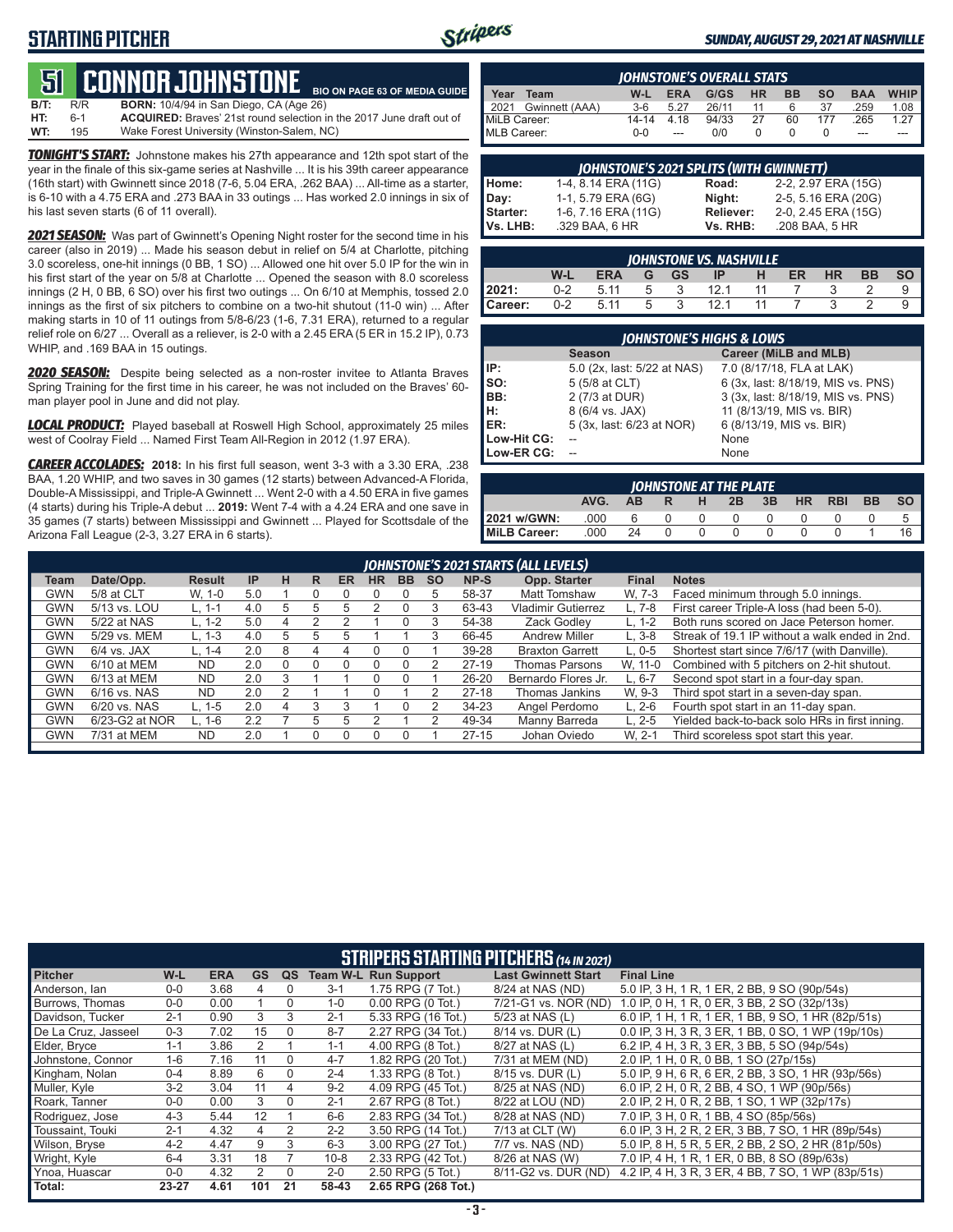# **STARTING PITCHER**



### *SUNDAY, AUGUST 29, 2021 AT NASHVILLE*

### **51****CONNOR JOHNSTONE BIO ON PAGE 63 OF MEDIA GUIDE**

**B/T:** R/R **BORN:** 10/4/94 in San Diego, CA (Age 26) **HT:** 6-1 **ACQUIRED:** Braves' 21st round selection in the 2017 June draft out of Wake Forest University (Winston-Salem, NC)

*TONIGHT'S START:* Johnstone makes his 27th appearance and 12th spot start of the year in the finale of this six-game series at Nashville ... It is his 39th career appearance (16th start) with Gwinnett since 2018 (7-6, 5.04 ERA, .262 BAA) ... All-time as a starter, is 6-10 with a 4.75 ERA and .273 BAA in 33 outings ... Has worked 2.0 innings in six of his last seven starts (6 of 11 overall).

*2021 SEASON:* Was part of Gwinnett's Opening Night roster for the second time in his career (also in 2019) ... Made his season debut in relief on 5/4 at Charlotte, pitching 3.0 scoreless, one-hit innings (0 BB, 1 SO) ... Allowed one hit over 5.0 IP for the win in his first start of the year on 5/8 at Charlotte ... Opened the season with 8.0 scoreless innings (2 H, 0 BB, 6 SO) over his first two outings ... On 6/10 at Memphis, tossed 2.0 innings as the first of six pitchers to combine on a two-hit shutout (11-0 win) ... After making starts in 10 of 11 outings from 5/8-6/23 (1-6, 7.31 ERA), returned to a regular relief role on 6/27 ... Overall as a reliever, is 2-0 with a 2.45 ERA (5 ER in 15.2 IP), 0.73 WHIP, and .169 BAA in 15 outings.

*2020 SEASON:* Despite being selected as a non-roster invitee to Atlanta Braves Spring Training for the first time in his career, he was not included on the Braves' 60 man player pool in June and did not play.

*LOCAL PRODUCT:* Played baseball at Roswell High School, approximately 25 miles west of Coolray Field ... Named First Team All-Region in 2012 (1.97 ERA).

*CAREER ACCOLADES:* **2018:** In his first full season, went 3-3 with a 3.30 ERA, .238 BAA, 1.20 WHIP, and two saves in 30 games (12 starts) between Advanced-A Florida, Double-A Mississippi, and Triple-A Gwinnett ... Went 2-0 with a 4.50 ERA in five games (4 starts) during his Triple-A debut ... **2019:** Went 7-4 with a 4.24 ERA and one save in 35 games (7 starts) between Mississippi and Gwinnett ... Played for Scottsdale of the Arizona Fall League (2-3, 3.27 ERA in 6 starts).

|              | <b>IOHNSTONE'S OVERALL STATS</b> |         |            |       |           |           |           |            |             |  |  |  |  |  |  |
|--------------|----------------------------------|---------|------------|-------|-----------|-----------|-----------|------------|-------------|--|--|--|--|--|--|
| Year         | Team                             | W-L     | <b>ERA</b> | G/GS  | <b>HR</b> | <b>BB</b> | <b>SO</b> | <b>BAA</b> | <b>WHIP</b> |  |  |  |  |  |  |
|              | 2021 Gwinnett (AAA)              | $3-6$   | 5.27       | 26/11 | 11        | 6         | 37        | 259        | 1.08        |  |  |  |  |  |  |
| MiLB Career: |                                  | 14-14   | 4 1 8      | 94/33 | 27        | 60        | 177       | .265       | 1.27        |  |  |  |  |  |  |
| MLB Career:  |                                  | $0 - 0$ | $---$      | 0/0   |           |           |           | ---        | ---         |  |  |  |  |  |  |

|          | <b>JOHNSTONE'S 2021 SPLITS (WITH GWINNETT)</b> |           |                     |  |  |  |  |  |  |  |  |
|----------|------------------------------------------------|-----------|---------------------|--|--|--|--|--|--|--|--|
| Home:    | 1-4, 8.14 ERA (11G)                            | Road:     | 2-2, 2.97 ERA (15G) |  |  |  |  |  |  |  |  |
| Day:     | 1-1, 5.79 ERA (6G)                             | Night:    | 2-5, 5.16 ERA (20G) |  |  |  |  |  |  |  |  |
| Starter: | 1-6, 7.16 ERA (11G)                            | Reliever: | 2-0, 2.45 ERA (15G) |  |  |  |  |  |  |  |  |
| Vs. LHB: | .329 BAA, 6 HR                                 | Vs. RHB:  | .208 BAA, 5 HR      |  |  |  |  |  |  |  |  |

|         | <b>IOHNSTONE VS. NASHVILLE</b>                                                        |      |   |  |      |    |  |  |  |  |  |  |  |  |  |
|---------|---------------------------------------------------------------------------------------|------|---|--|------|----|--|--|--|--|--|--|--|--|--|
|         | <b>BB</b><br><b>SO</b><br>W-L<br><b>HR</b><br>ER<br><b>ERA</b><br>GS.<br>н<br>G<br>IP |      |   |  |      |    |  |  |  |  |  |  |  |  |  |
| 2021:   | $0 - 2$                                                                               | 5.11 | 5 |  | 12.1 |    |  |  |  |  |  |  |  |  |  |
| Career: | $0 - 2$                                                                               | 5.11 | 5 |  | 121  | 11 |  |  |  |  |  |  |  |  |  |

|             | <b>JOHNSTONE'S HIGHS &amp; LOWS</b> |                                    |  |  |  |  |  |  |  |  |  |  |
|-------------|-------------------------------------|------------------------------------|--|--|--|--|--|--|--|--|--|--|
|             | <b>Season</b>                       | Career (MiLB and MLB)              |  |  |  |  |  |  |  |  |  |  |
| IP:         | 5.0 (2x, last: 5/22 at NAS)         | 7.0 (8/17/18, FLA at LAK)          |  |  |  |  |  |  |  |  |  |  |
| SO:         | 5 (5/8 at CLT)                      | 6 (3x, last: 8/18/19, MIS vs. PNS) |  |  |  |  |  |  |  |  |  |  |
| BB:         | 2 (7/3 at DUR)                      | 3 (3x, last: 8/18/19, MIS vs. PNS) |  |  |  |  |  |  |  |  |  |  |
| Įн:         | 8 (6/4 vs. JAX)                     | 11 (8/13/19, MIS vs. BIR)          |  |  |  |  |  |  |  |  |  |  |
| <b>IER:</b> | 5 (3x, last: 6/23 at NOR)           | 6 (8/13/19, MIS vs. BIR)           |  |  |  |  |  |  |  |  |  |  |
| Low-Hit CG: |                                     | None                               |  |  |  |  |  |  |  |  |  |  |
| Low-ER CG:  |                                     | None                               |  |  |  |  |  |  |  |  |  |  |

|                                                                                  | JOHNSTONE AT THE PLATE |    |  |   |  |  |  |  |  |    |  |  |  |  |  |
|----------------------------------------------------------------------------------|------------------------|----|--|---|--|--|--|--|--|----|--|--|--|--|--|
| <b>SO</b><br><b>BB</b><br><b>RBI</b><br><b>HR</b><br>3B<br>AVG.<br>2B<br>AВ<br>н |                        |    |  |   |  |  |  |  |  |    |  |  |  |  |  |
| 2021 w/GWN:                                                                      | .000                   | 6  |  | 0 |  |  |  |  |  |    |  |  |  |  |  |
| MiLB Career:                                                                     | .000                   | 24 |  | n |  |  |  |  |  | 16 |  |  |  |  |  |

|                                                                                                                                                                       | JOHNSTONE'S 2021 STARTS (ALL LEVELS) |            |     |          |   |   |  |  |   |           |                        |            |                                                |  |
|-----------------------------------------------------------------------------------------------------------------------------------------------------------------------|--------------------------------------|------------|-----|----------|---|---|--|--|---|-----------|------------------------|------------|------------------------------------------------|--|
| Opp. Starter<br>Date/Opp.<br><b>IP</b><br>NP-S<br><b>HR</b><br><b>BB</b><br><b>SO</b><br><b>Final</b><br><b>Notes</b><br>н<br><b>ER</b><br><b>Result</b><br>R<br>Team |                                      |            |     |          |   |   |  |  |   |           |                        |            |                                                |  |
| GWN                                                                                                                                                                   | 5/8 at CLT                           | W. 1-0     | 5.0 |          |   |   |  |  | 5 | 58-37     | <b>Matt Tomshaw</b>    | W. 7-3     | Faced minimum through 5.0 innings.             |  |
| GWN                                                                                                                                                                   | 5/13 vs. LOU                         | L. 1-1     | 4.0 | 5        |   |   |  |  |   | 63-43     | Vladimir Gutierrez     | L. 7-8     | First career Triple-A loss (had been 5-0).     |  |
| <b>GWN</b>                                                                                                                                                            | 5/22 at NAS                          | $L. 1-2$   | 5.0 | 4        |   |   |  |  |   | 54-38     | Zack Godlev            | $L. 1-2$   | Both runs scored on Jace Peterson homer.       |  |
| GWN                                                                                                                                                                   | 5/29 vs. MEM                         | $L. 1-3$   | 4.0 | 5        | h |   |  |  |   | 66-45     | <b>Andrew Miller</b>   | $L.3-8$    | Streak of 19.1 IP without a walk ended in 2nd. |  |
| <b>GWN</b>                                                                                                                                                            | $6/4$ vs. JAX                        | $L. 1 - 4$ | 2.0 | 8        |   |   |  |  |   | 39-28     | <b>Braxton Garrett</b> | $L.0 - 5$  | Shortest start since 7/6/17 (with Danville).   |  |
| <b>GWN</b>                                                                                                                                                            | 6/10 at MEM                          | <b>ND</b>  | 2.0 | $\Omega$ |   |   |  |  |   | $27-19$   | <b>Thomas Parsons</b>  | W. 11-0    | Combined with 5 pitchers on 2-hit shutout.     |  |
| GWN                                                                                                                                                                   | 6/13 at MEM                          | <b>ND</b>  | 2.0 | 3        |   |   |  |  |   | $26 - 20$ | Bernardo Flores Jr.    | L. 6-7     | Second spot start in a four-day span.          |  |
| <b>GWN</b>                                                                                                                                                            | $6/16$ vs. NAS                       | <b>ND</b>  | 2.0 |          |   |   |  |  |   | $27-18$   | Thomas Jankins         | W. 9-3     | Third spot start in a seven-day span.          |  |
| GWN                                                                                                                                                                   | 6/20 vs. NAS                         | $L. 1-5$   | 2.0 | 4        |   |   |  |  |   | $34 - 23$ | Angel Perdomo          | $L. 2-6$   | Fourth spot start in an 11-day span.           |  |
| GWN                                                                                                                                                                   | 6/23-G2 at NOR                       | $L. 1-6$   | 2.2 |          | 5 | 5 |  |  | っ | 49-34     | Manny Barreda          | $L. 2 - 5$ | Yielded back-to-back solo HRs in first inning. |  |
| <b>GWN</b>                                                                                                                                                            | 7/31 at MEM                          | <b>ND</b>  | 2.0 |          |   |   |  |  |   | $27 - 15$ | Johan Oviedo           | W. 2-1     | Third scoreless spot start this year.          |  |
|                                                                                                                                                                       |                                      |            |     |          |   |   |  |  |   |           |                        |            |                                                |  |

|                        | <b>STRIPERS STARTING PITCHERS</b> (14 IN 2021) |            |                |          |          |                             |                            |                                                    |  |  |  |  |  |
|------------------------|------------------------------------------------|------------|----------------|----------|----------|-----------------------------|----------------------------|----------------------------------------------------|--|--|--|--|--|
| <b>Pitcher</b>         | W-L                                            | <b>ERA</b> | <b>GS</b>      | QS       |          | <b>Team W-L Run Support</b> | <b>Last Gwinnett Start</b> | <b>Final Line</b>                                  |  |  |  |  |  |
| Anderson, Ian          | $0 - 0$                                        | 3.68       | 4              | $\Omega$ | $3 - 1$  | 1.75 RPG (7 Tot.)           | 8/24 at NAS (ND)           | 5.0 IP, 3 H, 1 R, 1 ER, 2 BB, 9 SO (90p/54s)       |  |  |  |  |  |
| <b>Burrows. Thomas</b> | $0-0$                                          | 0.00       |                | $\Omega$ | $1 - 0$  | $0.00$ RPG $(0$ Tot.)       | 7/21-G1 vs. NOR (ND)       | 1.0 IP, 0 H, 1 R, 0 ER, 3 BB, 2 SO (32p/13s)       |  |  |  |  |  |
| Davidson, Tucker       | $2 - 1$                                        | 0.90       | 3              | 3        | $2 - 1$  | 5.33 RPG (16 Tot.)          | 5/23 at NAS (L)            | 6.0 IP, 1 H, 1 R, 1 ER, 1 BB, 9 SO, 1 HR (82p/51s) |  |  |  |  |  |
| De La Cruz. Jasseel    | $0 - 3$                                        | 7.02       | 15             | $\Omega$ | $8 - 7$  | 2.27 RPG (34 Tot.)          | 8/14 vs. DUR (L)           | 0.0 IP, 3 H, 3 R, 3 ER, 1 BB, 0 SO, 1 WP (19p/10s) |  |  |  |  |  |
| Elder, Bryce           | $1 - 1$                                        | 3.86       | $\overline{2}$ |          | $1 - 1$  | 4.00 RPG (8 Tot.)           | 8/27 at NAS (L)            | 6.2 IP, 4 H, 3 R, 3 ER, 3 BB, 5 SO (94p/54s)       |  |  |  |  |  |
| Johnstone, Connor      | $1 - 6$                                        | 7.16       | 11             | $\Omega$ | $4 - 7$  | 1.82 RPG (20 Tot.)          | 7/31 at MEM (ND)           | 2.0 IP, 1 H, 0 R, 0 BB, 1 SO (27p/15s)             |  |  |  |  |  |
| Kingham, Nolan         | $0 - 4$                                        | 8.89       | 6              | $\Omega$ | $2 - 4$  | 1.33 RPG (8 Tot.)           | 8/15 vs. DUR (L)           | 5.0 IP, 9 H, 6 R, 6 ER, 2 BB, 3 SO, 1 HR (93p/56s) |  |  |  |  |  |
| Muller, Kyle           | $3-2$                                          | 3.04       | 11             | 4        | $9 - 2$  | 4.09 RPG (45 Tot.)          | 8/25 at NAS (ND)           | 6.0 IP, 2 H, 0 R, 2 BB, 4 SO, 1 WP (90p/56s)       |  |  |  |  |  |
| Roark, Tanner          | $0-0$                                          | 0.00       | 3              | $\Omega$ | $2 - 1$  | 2.67 RPG (8 Tot.)           | 8/22 at LOU (ND)           | 2.0 IP, 2 H, 0 R, 2 BB, 1 SO, 1 WP (32p/17s)       |  |  |  |  |  |
| Rodriguez, Jose        | $4 - 3$                                        | 5.44       | 12             |          | 6-6      | 2.83 RPG (34 Tot.)          | 8/28 at NAS (ND)           | 7.0 IP, 3 H, 0 R, 1 BB, 4 SO (85p/56s)             |  |  |  |  |  |
| Toussaint. Touki       | $2 - 1$                                        | 4.32       | 4              | 2        | $2 - 2$  | 3.50 RPG (14 Tot.)          | 7/13 at CLT (W)            | 6.0 IP, 3 H, 2 R, 2 ER, 3 BB, 7 SO, 1 HR (89p/54s) |  |  |  |  |  |
| Wilson, Bryse          | $4 - 2$                                        | 4.47       | 9              | 3        | $6 - 3$  | 3.00 RPG (27 Tot.)          | 7/7 vs. NAS (ND)           | 5.0 IP, 8 H, 5 R, 5 ER, 2 BB, 2 SO, 2 HR (81p/50s) |  |  |  |  |  |
| Wright, Kyle           | $6 - 4$                                        | 3.31       | 18             |          | $10 - 8$ | 2.33 RPG (42 Tot.)          | 8/26 at NAS (W)            | 7.0 IP, 4 H, 1 R, 1 ER, 0 BB, 8 SO (89p/63s)       |  |  |  |  |  |
| Ynoa, Huascar          | $0-0$                                          | 4.32       | $\mathcal{P}$  | $\Omega$ | $2 - 0$  | 2.50 RPG (5 Tot.)           | 8/11-G2 vs. DUR (ND)       | 4.2 IP, 4 H, 3 R, 3 ER, 4 BB, 7 SO, 1 WP (83p/51s) |  |  |  |  |  |
| Total:                 | $23 - 27$                                      | 4.61       | 101            | 21       | 58-43    | 2.65 RPG (268 Tot.)         |                            |                                                    |  |  |  |  |  |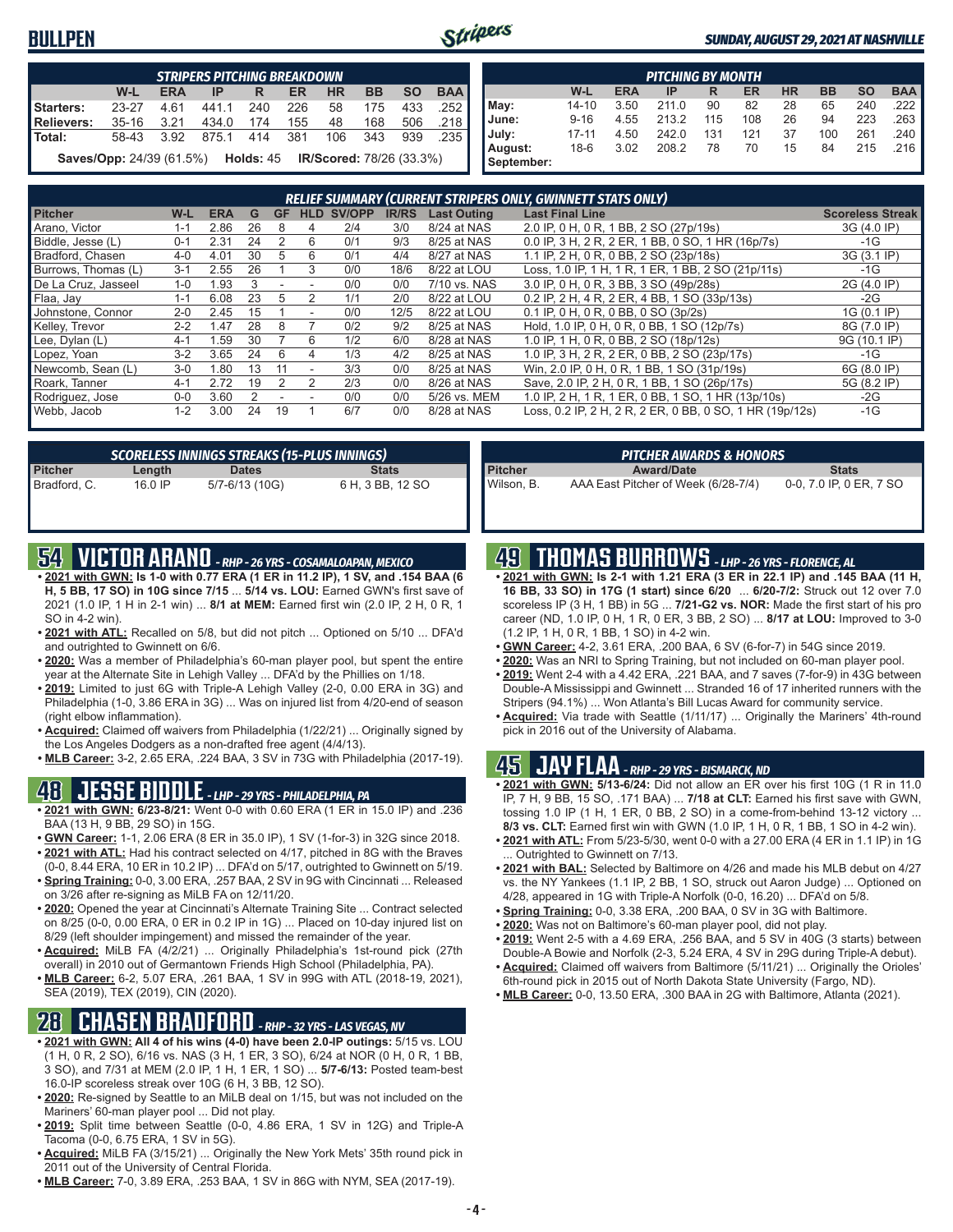### **BULLPEN**



### *SUNDAY, AUGUST 29, 2021 AT NASHVILLE*

|               | <b>STRIPERS PITCHING BREAKDOWN</b>                                               |            |       |     |     |           |           |           |            |  |  |  |  |  |  |
|---------------|----------------------------------------------------------------------------------|------------|-------|-----|-----|-----------|-----------|-----------|------------|--|--|--|--|--|--|
|               | $W-L$                                                                            | <b>ERA</b> | IP    | R   | ER  | <b>HR</b> | <b>BB</b> | <b>SO</b> | <b>BAA</b> |  |  |  |  |  |  |
| Starters:     | $23 - 27$                                                                        | 4.61       | 441.1 | 240 | 226 | 58        | 175       | 433       | .252       |  |  |  |  |  |  |
| Relievers:    | $35 - 16$                                                                        | 3.21       | 434.0 | 174 | 155 | 48        | 168       | 506       | .218       |  |  |  |  |  |  |
| <b>Total:</b> | 58-43                                                                            | 3.92       | 875.1 | 414 | 381 | 106       | 343       | 939       | .235       |  |  |  |  |  |  |
|               | <b>Saves/Opp:</b> 24/39 (61.5%) <b>Holds:</b> 45 <b>IR/Scored:</b> 78/26 (33.3%) |            |       |     |     |           |           |           |            |  |  |  |  |  |  |

|            | <b>PITCHING BY MONTH</b>                                                                |      |       |     |     |    |     |     |        |  |  |  |  |  |  |
|------------|-----------------------------------------------------------------------------------------|------|-------|-----|-----|----|-----|-----|--------|--|--|--|--|--|--|
|            | <b>BAA</b><br><b>HR</b><br><b>BB</b><br>W-L<br><b>SO</b><br><b>ERA</b><br>ER<br>IP<br>R |      |       |     |     |    |     |     |        |  |  |  |  |  |  |
| May:       | $14 - 10$                                                                               | 3.50 | 211.0 | 90  | 82  | 28 | 65  | 240 | .222 I |  |  |  |  |  |  |
| June:      | $9 - 16$                                                                                | 4.55 | 213.2 | 115 | 108 | 26 | 94  | 223 | .263   |  |  |  |  |  |  |
| July:      | $17 - 11$                                                                               | 4.50 | 242.0 | 131 | 121 | 37 | 100 | 261 | .240 I |  |  |  |  |  |  |
| August:    | 18-6                                                                                    | 3.02 | 208.2 | 78  | 70  | 15 | 84  | 215 | .216   |  |  |  |  |  |  |
| September: |                                                                                         |      |       |     |     |    |     |     |        |  |  |  |  |  |  |

| RELIEF SUMMARY (CURRENT STRIPERS ONLY, GWINNETT STATS ONLY) |         |            |    |                |            |        |              |                    |                                                          |                         |
|-------------------------------------------------------------|---------|------------|----|----------------|------------|--------|--------------|--------------------|----------------------------------------------------------|-------------------------|
| <b>Pitcher</b>                                              | W-L     | <b>ERA</b> | G  | <b>GF</b>      | <b>HLD</b> | SV/OPP | <b>IR/RS</b> | <b>Last Outing</b> | <b>Last Final Line</b>                                   | <b>Scoreless Streak</b> |
| Arano, Victor                                               | 1-1     | 2.86       | 26 | 8              |            | 2/4    | 3/0          | 8/24 at NAS        | 2.0 IP, 0 H, 0 R, 1 BB, 2 SO (27p/19s)                   | 3G (4.0 IP)             |
| Biddle, Jesse (L)                                           | $0 - 1$ | 2.31       | 24 |                | 6          | 0/1    | 9/3          | 8/25 at NAS        | 0.0 IP. 3 H. 2 R. 2 ER. 1 BB. 0 SO. 1 HR (16p/7s)        | -1G                     |
| Bradford, Chasen                                            | $4 - 0$ | 4.01       | 30 | 5              | 6          | 0/1    | 4/4          | 8/27 at NAS        | 1.1 IP, 2 H, 0 R, 0 BB, 2 SO (23p/18s)                   | 3G (3.1 IP)             |
| Burrows. Thomas (L)                                         | $3 - 1$ | 2.55       | 26 |                | 3          | 0/0    | 18/6         | 8/22 at LOU        | Loss, 1.0 IP, 1 H, 1 R, 1 ER, 1 BB, 2 SO (21p/11s)       | $-1G$                   |
| De La Cruz. Jasseel                                         | $1 - 0$ | 1.93       | 3  |                | ۰          | 0/0    | 0/0          | 7/10 vs. NAS       | 3.0 IP, 0 H, 0 R, 3 BB, 3 SO (49p/28s)                   | 2G (4.0 IP)             |
| Flaa, Jay                                                   | $1 - 1$ | 6.08       | 23 | 5              | 2          | 1/1    | 2/0          | 8/22 at LOU        | 0.2 IP, 2 H, 4 R, 2 ER, 4 BB, 1 SO (33p/13s)             | $-2G$                   |
| Johnstone, Connor                                           | $2 - 0$ | 2.45       | 15 |                | ٠          | 0/0    | 12/5         | 8/22 at LOU        | 0.1 IP. 0 H. 0 R. 0 BB. 0 SO (3p/2s)                     | 1G (0.1 IP)             |
| Kelley, Trevor                                              | $2 - 2$ | 1.47       | 28 | 8              |            | 0/2    | 9/2          | 8/25 at NAS        | Hold, 1.0 IP, 0 H, 0 R, 0 BB, 1 SO (12p/7s)              | 8G (7.0 IP)             |
| Lee, Dylan (L)                                              | $4 - 1$ | 1.59       | 30 |                | 6          | 1/2    | 6/0          | 8/28 at NAS        | 1.0 IP. 1 H. 0 R. 0 BB. 2 SO (18p/12s)                   | 9G (10.1 IP)            |
| Lopez, Yoan                                                 | $3 - 2$ | 3.65       | 24 | 6              | 4          | 1/3    | 4/2          | 8/25 at NAS        | 1.0 IP, 3 H, 2 R, 2 ER, 0 BB, 2 SO (23p/17s)             | $-1G$                   |
| Newcomb, Sean (L)                                           | $3-0$   | 1.80       | 13 | 11             |            | 3/3    | 0/0          | 8/25 at NAS        | Win, 2.0 IP, 0 H, 0 R, 1 BB, 1 SO (31p/19s)              | 6G (8.0 IP)             |
| Roark, Tanner                                               | $4 - 1$ | 2.72       | 19 | $\overline{2}$ | 2          | 2/3    | 0/0          | 8/26 at NAS        | Save, 2.0 IP, 2 H, 0 R, 1 BB, 1 SO (26p/17s)             | 5G (8.2 IP)             |
| Rodriguez, Jose                                             | $0 - 0$ | 3.60       |    |                |            | 0/0    | 0/0          | 5/26 vs. MEM       | 1.0 IP, 2 H, 1 R, 1 ER, 0 BB, 1 SO, 1 HR (13p/10s)       | $-2G$                   |
| Webb, Jacob                                                 | $1 - 2$ | 3.00       | 24 | 19             |            | 6/7    | 0/0          | 8/28 at NAS        | Loss, 0.2 IP, 2 H, 2 R, 2 ER, 0 BB, 0 SO, 1 HR (19p/12s) | $-1G$                   |

| <b>SCORELESS INNINGS STREAKS (15-PLUS INNINGS)</b> |         |                |                  |  |  |  |  |
|----------------------------------------------------|---------|----------------|------------------|--|--|--|--|
| Pitcher                                            | Length  | <b>Dates</b>   | <b>Stats</b>     |  |  |  |  |
| Bradford, C.                                       | 16.0 IP | 5/7-6/13 (10G) | 6 H, 3 BB, 12 SO |  |  |  |  |

# **54 VICTOR ARANO** *- RHP - 26 YRS - COSAMALOAPAN, MEXICO*

- **• 2021 with GWN: Is 1-0 with 0.77 ERA (1 ER in 11.2 IP), 1 SV, and .154 BAA (6 H, 5 BB, 17 SO) in 10G since 7/15** ... **5/14 vs. LOU:** Earned GWN's first save of 2021 (1.0 IP, 1 H in 2-1 win) ... **8/1 at MEM:** Earned first win (2.0 IP, 2 H, 0 R, 1 SO in 4-2 win).
- **• 2021 with ATL:** Recalled on 5/8, but did not pitch ... Optioned on 5/10 ... DFA'd and outrighted to Gwinnett on 6/6.
- **• 2020:** Was a member of Philadelphia's 60-man player pool, but spent the entire year at the Alternate Site in Lehigh Valley ... DFA'd by the Phillies on 1/18.
- **• 2019:** Limited to just 6G with Triple-A Lehigh Valley (2-0, 0.00 ERA in 3G) and Philadelphia (1-0, 3.86 ERA in 3G) ... Was on injured list from 4/20-end of season (right elbow inflammation).
- **• Acquired:** Claimed off waivers from Philadelphia (1/22/21) ... Originally signed by the Los Angeles Dodgers as a non-drafted free agent (4/4/13).
- **• MLB Career:** 3-2, 2.65 ERA, .224 BAA, 3 SV in 73G with Philadelphia (2017-19).

### **48 JESSE BIDDLE** *- LHP - 29 YRS - PHILADELPHIA, PA*

- **• 2021 with GWN: 6/23-8/21:** Went 0-0 with 0.60 ERA (1 ER in 15.0 IP) and .236 BAA (13 H, 9 BB, 29 SO) in 15G.
- **• GWN Career:** 1-1, 2.06 ERA (8 ER in 35.0 IP), 1 SV (1-for-3) in 32G since 2018. **• 2021 with ATL:** Had his contract selected on 4/17, pitched in 8G with the Braves
- (0-0, 8.44 ERA, 10 ER in 10.2 IP) ... DFA'd on 5/17, outrighted to Gwinnett on 5/19. **• Spring Training:** 0-0, 3.00 ERA, .257 BAA, 2 SV in 9G with Cincinnati ... Released
- on 3/26 after re-signing as MiLB FA on 12/11/20. **• 2020:** Opened the year at Cincinnati's Alternate Training Site ... Contract selected
- on 8/25 (0-0, 0.00 ERA, 0 ER in 0.2 IP in 1G) ... Placed on 10-day injured list on 8/29 (left shoulder impingement) and missed the remainder of the year.
- **• Acquired:** MiLB FA (4/2/21) ... Originally Philadelphia's 1st-round pick (27th overall) in 2010 out of Germantown Friends High School (Philadelphia, PA).
- **• MLB Career:** 6-2, 5.07 ERA, .261 BAA, 1 SV in 99G with ATL (2018-19, 2021), SEA (2019), TEX (2019), CIN (2020).

# **28 CHASEN BRADFORD** *- RHP - 32 YRS - LAS VEGAS, NV*

- **• 2021 with GWN: All 4 of his wins (4-0) have been 2.0-IP outings:** 5/15 vs. LOU (1 H, 0 R, 2 SO), 6/16 vs. NAS (3 H, 1 ER, 3 SO), 6/24 at NOR (0 H, 0 R, 1 BB, 3 SO), and 7/31 at MEM (2.0 IP, 1 H, 1 ER, 1 SO) ... **5/7-6/13:** Posted team-best 16.0-IP scoreless streak over 10G (6 H, 3 BB, 12 SO).
- **• 2020:** Re-signed by Seattle to an MiLB deal on 1/15, but was not included on the Mariners' 60-man player pool ... Did not play.
- **• 2019:** Split time between Seattle (0-0, 4.86 ERA, 1 SV in 12G) and Triple-A Tacoma (0-0, 6.75 ERA, 1 SV in 5G).
- **• Acquired:** MiLB FA (3/15/21) ... Originally the New York Mets' 35th round pick in 2011 out of the University of Central Florida.
- **• MLB Career:** 7-0, 3.89 ERA, .253 BAA, 1 SV in 86G with NYM, SEA (2017-19).

| <b>PITCHER AWARDS &amp; HONORS</b> |                                     |                         |  |  |  |  |  |
|------------------------------------|-------------------------------------|-------------------------|--|--|--|--|--|
| <b>Pitcher</b>                     | <b>Award/Date</b>                   | <b>Stats</b>            |  |  |  |  |  |
| Wilson. B.                         | AAA East Pitcher of Week (6/28-7/4) | 0-0, 7.0 IP, 0 ER, 7 SO |  |  |  |  |  |

### **49 THOMAS BURROWS** *- LHP - 26 YRS - FLORENCE, AL*

- **• 2021 with GWN: Is 2-1 with 1.21 ERA (3 ER in 22.1 IP) and .145 BAA (11 H, 16 BB, 33 SO) in 17G (1 start) since 6/20** ... **6/20-7/2:** Struck out 12 over 7.0 scoreless IP (3 H, 1 BB) in 5G ... **7/21-G2 vs. NOR:** Made the first start of his pro career (ND, 1.0 IP, 0 H, 1 R, 0 ER, 3 BB, 2 SO) ... **8/17 at LOU:** Improved to 3-0 (1.2 IP, 1 H, 0 R, 1 BB, 1 SO) in 4-2 win.
- **• GWN Career:** 4-2, 3.61 ERA, .200 BAA, 6 SV (6-for-7) in 54G since 2019.
- **• 2020:** Was an NRI to Spring Training, but not included on 60-man player pool.
- **• 2019:** Went 2-4 with a 4.42 ERA, .221 BAA, and 7 saves (7-for-9) in 43G between Double-A Mississippi and Gwinnett ... Stranded 16 of 17 inherited runners with the Stripers (94.1%) ... Won Atlanta's Bill Lucas Award for community service.
- **• Acquired:** Via trade with Seattle (1/11/17) ... Originally the Mariners' 4th-round pick in 2016 out of the University of Alabama.

### **45 JAY FLAA** *- RHP - 29 YRS - BISMARCK, ND*

- **• 2021 with GWN: 5/13-6/24:** Did not allow an ER over his first 10G (1 R in 11.0 IP, 7 H, 9 BB, 15 SO, .171 BAA) ... **7/18 at CLT:** Earned his first save with GWN, tossing 1.0 IP (1 H, 1 ER, 0 BB, 2 SO) in a come-from-behind 13-12 victory ... **8/3 vs. CLT:** Earned first win with GWN (1.0 IP, 1 H, 0 R, 1 BB, 1 SO in 4-2 win).
- **• 2021 with ATL:** From 5/23-5/30, went 0-0 with a 27.00 ERA (4 ER in 1.1 IP) in 1G . Outrighted to Gwinnett on 7/13.
- **• 2021 with BAL:** Selected by Baltimore on 4/26 and made his MLB debut on 4/27 vs. the NY Yankees (1.1 IP, 2 BB, 1 SO, struck out Aaron Judge) ... Optioned on 4/28, appeared in 1G with Triple-A Norfolk (0-0, 16.20) ... DFA'd on 5/8.
- **• Spring Training:** 0-0, 3.38 ERA, .200 BAA, 0 SV in 3G with Baltimore.
- **• 2020:** Was not on Baltimore's 60-man player pool, did not play.
- **• 2019:** Went 2-5 with a 4.69 ERA, .256 BAA, and 5 SV in 40G (3 starts) between
- Double-A Bowie and Norfolk (2-3, 5.24 ERA, 4 SV in 29G during Triple-A debut). **• Acquired:** Claimed off waivers from Baltimore (5/11/21) ... Originally the Orioles'
- 6th-round pick in 2015 out of North Dakota State University (Fargo, ND).
- **• MLB Career:** 0-0, 13.50 ERA, .300 BAA in 2G with Baltimore, Atlanta (2021).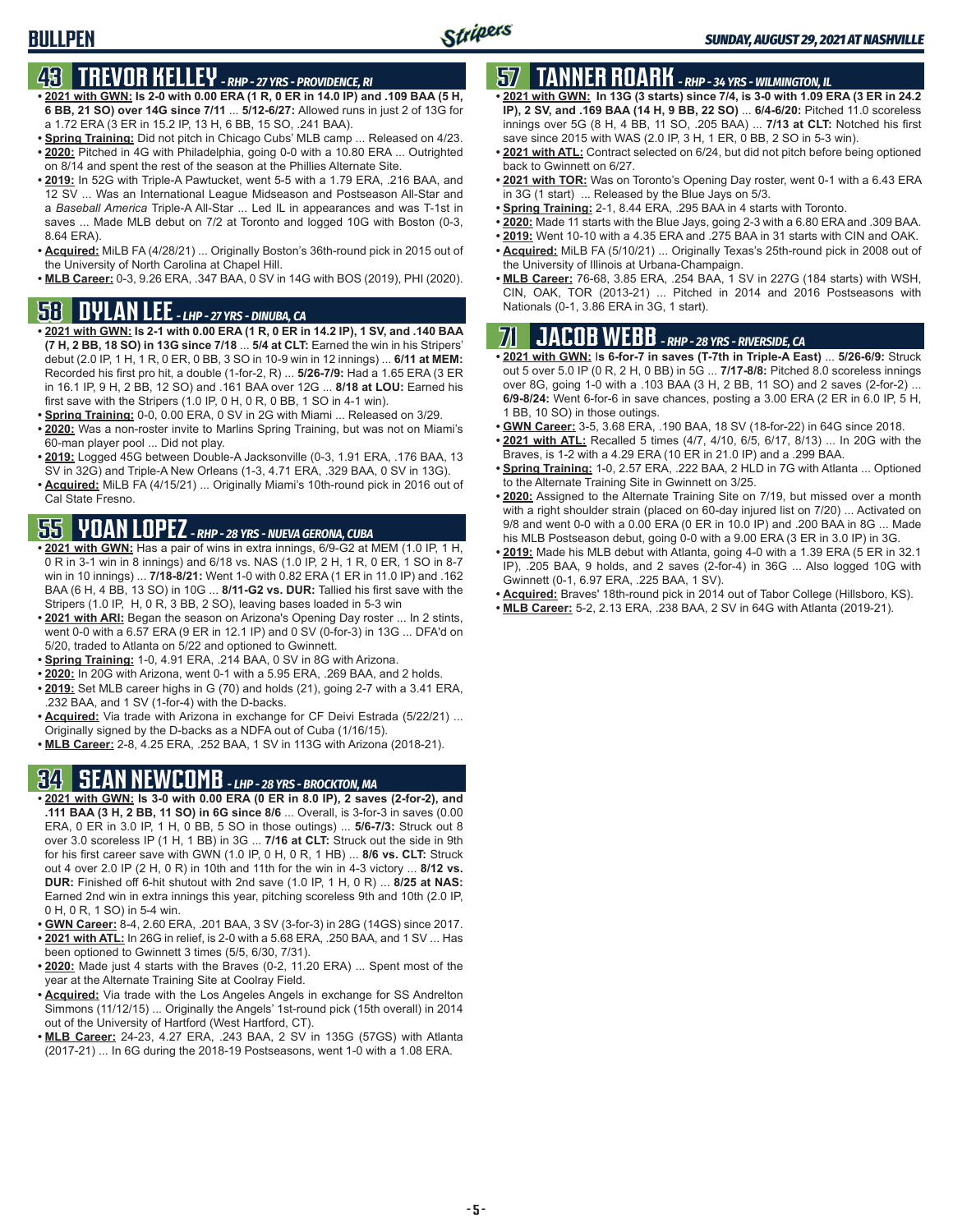# **43 TREVOR KELLEY** *- RHP - 27 YRS - PROVIDENCE, RI*

- **• 2021 with GWN: Is 2-0 with 0.00 ERA (1 R, 0 ER in 14.0 IP) and .109 BAA (5 H, 6 BB, 21 SO) over 14G since 7/11** ... **5/12-6/27:** Allowed runs in just 2 of 13G for a 1.72 ERA (3 ER in 15.2 IP, 13 H, 6 BB, 15 SO, .241 BAA).
- **• Spring Training:** Did not pitch in Chicago Cubs' MLB camp ... Released on 4/23. **• 2020:** Pitched in 4G with Philadelphia, going 0-0 with a 10.80 ERA ... Outrighted on 8/14 and spent the rest of the season at the Phillies Alternate Site.
- **• 2019:** In 52G with Triple-A Pawtucket, went 5-5 with a 1.79 ERA, .216 BAA, and 12 SV ... Was an International League Midseason and Postseason All-Star and a *Baseball America* Triple-A All-Star ... Led IL in appearances and was T-1st in saves ... Made MLB debut on 7/2 at Toronto and logged 10G with Boston (0-3, 8.64 ERA).
- **• Acquired:** MiLB FA (4/28/21) ... Originally Boston's 36th-round pick in 2015 out of the University of North Carolina at Chapel Hill.
- **• MLB Career:** 0-3, 9.26 ERA, .347 BAA, 0 SV in 14G with BOS (2019), PHI (2020).

# **58 DYLAN LEE** *- LHP - 27 YRS - DINUBA, CA*

- **• 2021 with GWN: Is 2-1 with 0.00 ERA (1 R, 0 ER in 14.2 IP), 1 SV, and .140 BAA (7 H, 2 BB, 18 SO) in 13G since 7/18** ... **5/4 at CLT:** Earned the win in his Stripers' debut (2.0 IP, 1 H, 1 R, 0 ER, 0 BB, 3 SO in 10-9 win in 12 innings) ... **6/11 at MEM:** Recorded his first pro hit, a double (1-for-2, R) ... **5/26-7/9:** Had a 1.65 ERA (3 ER in 16.1 IP, 9 H, 2 BB, 12 SO) and .161 BAA over 12G ... **8/18 at LOU:** Earned his first save with the Stripers (1.0 IP, 0 H, 0 R, 0 BB, 1 SO in 4-1 win).
- **• Spring Training:** 0-0, 0.00 ERA, 0 SV in 2G with Miami ... Released on 3/29.
- **• 2020:** Was a non-roster invite to Marlins Spring Training, but was not on Miami's 60-man player pool ... Did not play.
- **• 2019:** Logged 45G between Double-A Jacksonville (0-3, 1.91 ERA, .176 BAA, 13 SV in 32G) and Triple-A New Orleans (1-3, 4.71 ERA, .329 BAA, 0 SV in 13G).
- **• Acquired:** MiLB FA (4/15/21) ... Originally Miami's 10th-round pick in 2016 out of Cal State Fresno.

# **55 YOAN LOPEZ** *- RHP - 28 YRS - NUEVA GERONA, CUBA*

- **• 2021 with GWN:** Has a pair of wins in extra innings, 6/9-G2 at MEM (1.0 IP, 1 H, 0 R in 3-1 win in 8 innings) and 6/18 vs. NAS (1.0 IP, 2 H, 1 R, 0 ER, 1 SO in 8-7 win in 10 innings) ... **7/18-8/21:** Went 1-0 with 0.82 ERA (1 ER in 11.0 IP) and .162 BAA (6 H, 4 BB, 13 SO) in 10G ... **8/11-G2 vs. DUR:** Tallied his first save with the Stripers (1.0 IP, H, 0 R, 3 BB, 2 SO), leaving bases loaded in 5-3 win
- **• 2021 with ARI:** Began the season on Arizona's Opening Day roster ... In 2 stints, went 0-0 with a 6.57 ERA (9 ER in 12.1 IP) and 0 SV (0-for-3) in 13G ... DFA'd on 5/20, traded to Atlanta on 5/22 and optioned to Gwinnett.
- **• Spring Training:** 1-0, 4.91 ERA, .214 BAA, 0 SV in 8G with Arizona.
- **• 2020:** In 20G with Arizona, went 0-1 with a 5.95 ERA, .269 BAA, and 2 holds.
- **• 2019:** Set MLB career highs in G (70) and holds (21), going 2-7 with a 3.41 ERA, .232 BAA, and 1 SV (1-for-4) with the D-backs.
- **• Acquired:** Via trade with Arizona in exchange for CF Deivi Estrada (5/22/21) ... Originally signed by the D-backs as a NDFA out of Cuba (1/16/15).
- **• MLB Career:** 2-8, 4.25 ERA, .252 BAA, 1 SV in 113G with Arizona (2018-21).

# **34 SEAN NEWCOMB** *- LHP - 28 YRS - BROCKTON, MA*

- **• 2021 with GWN: Is 3-0 with 0.00 ERA (0 ER in 8.0 IP), 2 saves (2-for-2), and .111 BAA (3 H, 2 BB, 11 SO) in 6G since 8/6** ... Overall, is 3-for-3 in saves (0.00 ERA, 0 ER in 3.0 IP, 1 H, 0 BB, 5 SO in those outings) ... **5/6-7/3:** Struck out 8 over 3.0 scoreless IP (1 H, 1 BB) in 3G ... **7/16 at CLT:** Struck out the side in 9th for his first career save with GWN (1.0 IP, 0 H, 0 R, 1 HB) ... **8/6 vs. CLT:** Struck out 4 over 2.0 IP (2 H, 0 R) in 10th and 11th for the win in 4-3 victory ... **8/12 vs. DUR:** Finished off 6-hit shutout with 2nd save (1.0 IP, 1 H, 0 R) ... **8/25 at NAS:** Earned 2nd win in extra innings this year, pitching scoreless 9th and 10th (2.0 IP, 0 H, 0 R, 1 SO) in 5-4 win.
- **• GWN Career:** 8-4, 2.60 ERA, .201 BAA, 3 SV (3-for-3) in 28G (14GS) since 2017. **• 2021 with ATL:** In 26G in relief, is 2-0 with a 5.68 ERA, .250 BAA, and 1 SV ... Has
- been optioned to Gwinnett 3 times (5/5, 6/30, 7/31).
- **• 2020:** Made just 4 starts with the Braves (0-2, 11.20 ERA) ... Spent most of the year at the Alternate Training Site at Coolray Field.
- **• Acquired:** Via trade with the Los Angeles Angels in exchange for SS Andrelton Simmons (11/12/15) ... Originally the Angels' 1st-round pick (15th overall) in 2014 out of the University of Hartford (West Hartford, CT).
- **• MLB Career:** 24-23, 4.27 ERA, .243 BAA, 2 SV in 135G (57GS) with Atlanta (2017-21) ... In 6G during the 2018-19 Postseasons, went 1-0 with a 1.08 ERA.

# **57 TANNER ROARK** *- RHP - 34 YRS - WILMINGTON, IL*

- **• 2021 with GWN: In 13G (3 starts) since 7/4, is 3-0 with 1.09 ERA (3 ER in 24.2 IP), 2 SV, and .169 BAA (14 H, 9 BB, 22 SO)** ... **6/4-6/20:** Pitched 11.0 scoreless innings over 5G (8 H, 4 BB, 11 SO, .205 BAA) ... **7/13 at CLT:** Notched his first save since 2015 with WAS (2.0 IP, 3 H, 1 ER, 0 BB, 2 SO in 5-3 win).
- **• 2021 with ATL:** Contract selected on 6/24, but did not pitch before being optioned back to Gwinnett on 6/27.
- **• 2021 with TOR:** Was on Toronto's Opening Day roster, went 0-1 with a 6.43 ERA in 3G (1 start) ... Released by the Blue Jays on 5/3.
- **• Spring Training:** 2-1, 8.44 ERA, .295 BAA in 4 starts with Toronto.
- **• 2020:** Made 11 starts with the Blue Jays, going 2-3 with a 6.80 ERA and .309 BAA.
- **• 2019:** Went 10-10 with a 4.35 ERA and .275 BAA in 31 starts with CIN and OAK.
- **• Acquired:** MiLB FA (5/10/21) ... Originally Texas's 25th-round pick in 2008 out of the University of Illinois at Urbana-Champaign.
- **• MLB Career:** 76-68, 3.85 ERA, .254 BAA, 1 SV in 227G (184 starts) with WSH, CIN, OAK, TOR (2013-21) ... Pitched in 2014 and 2016 Postseasons with Nationals (0-1, 3.86 ERA in 3G, 1 start).

# **71 JACOB WEBB** *- RHP - 28 YRS - RIVERSIDE, CA*

**• 2021 with GWN:** I**s 6-for-7 in saves (T-7th in Triple-A East)** ... **5/26-6/9:** Struck out 5 over 5.0 IP (0 R, 2 H, 0 BB) in 5G ... **7/17-8/8:** Pitched 8.0 scoreless innings over 8G, going 1-0 with a .103 BAA (3 H, 2 BB, 11 SO) and 2 saves (2-for-2) ... **6/9-8/24:** Went 6-for-6 in save chances, posting a 3.00 ERA (2 ER in 6.0 IP, 5 H, 1 BB, 10 SO) in those outings.

- **• GWN Career:** 3-5, 3.68 ERA, .190 BAA, 18 SV (18-for-22) in 64G since 2018.
- **• 2021 with ATL:** Recalled 5 times (4/7, 4/10, 6/5, 6/17, 8/13) ... In 20G with the Braves, is 1-2 with a 4.29 ERA (10 ER in 21.0 IP) and a .299 BAA.
- **• Spring Training:** 1-0, 2.57 ERA, .222 BAA, 2 HLD in 7G with Atlanta ... Optioned to the Alternate Training Site in Gwinnett on 3/25.
- **• 2020:** Assigned to the Alternate Training Site on 7/19, but missed over a month with a right shoulder strain (placed on 60-day injured list on 7/20) ... Activated on 9/8 and went 0-0 with a 0.00 ERA (0 ER in 10.0 IP) and .200 BAA in 8G ... Made his MLB Postseason debut, going 0-0 with a 9.00 ERA (3 ER in 3.0 IP) in 3G.
- **• 2019:** Made his MLB debut with Atlanta, going 4-0 with a 1.39 ERA (5 ER in 32.1 IP), .205 BAA, 9 holds, and 2 saves (2-for-4) in 36G ... Also logged 10G with Gwinnett (0-1, 6.97 ERA, .225 BAA, 1 SV).
- **• Acquired:** Braves' 18th-round pick in 2014 out of Tabor College (Hillsboro, KS).
- **• MLB Career:** 5-2, 2.13 ERA, .238 BAA, 2 SV in 64G with Atlanta (2019-21).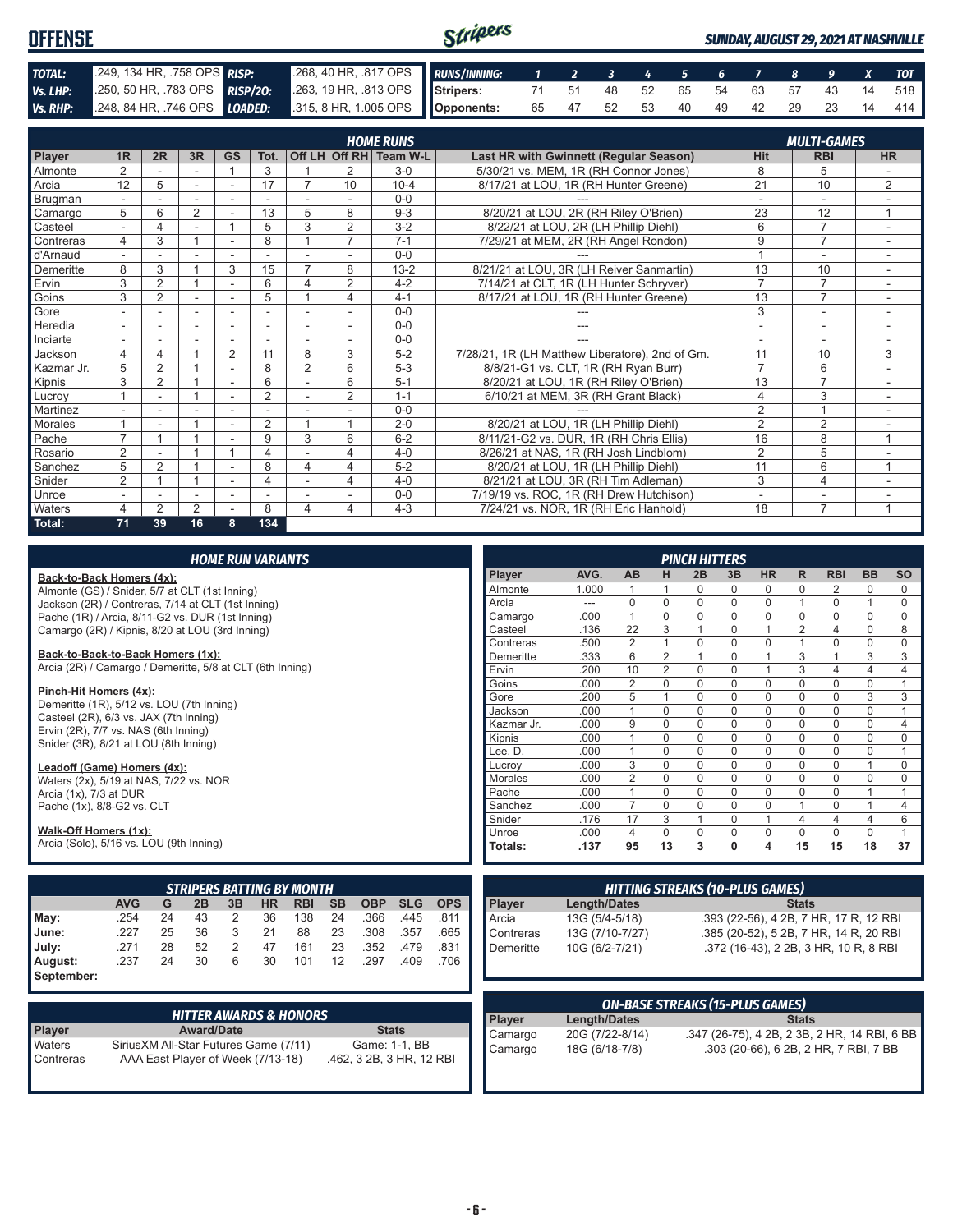| <b>OFFENSE</b> |  |                                                                                                        | Stripers<br><b>SUNDAY, AUGUST 29, 2021 AT NASHVILLE</b> |  |  |  |  |  |  |  |  |  |  |  |
|----------------|--|--------------------------------------------------------------------------------------------------------|---------------------------------------------------------|--|--|--|--|--|--|--|--|--|--|--|
| TOTAL:         |  | 2009, 134 HR, 258 OPS RISP: 268, 40 HR, 817 OPS RUNS/INNING: 1 2 3 4 5 6 7 8 9 X TOT                   |                                                         |  |  |  |  |  |  |  |  |  |  |  |
| Vs. LHP:       |  | 250, 50 HR, 783 OPS RISP/20: 263, 19 HR, 813 OPS Stripers: 71 51 48 52 65 54 63 57 43 14 518           |                                                         |  |  |  |  |  |  |  |  |  |  |  |
|                |  | Vs. RHP: 248, 84 HR, 746 OPS LOADED: 315, 8 HR, 1.005 OPS Opponents: 65 47 52 53 40 49 42 29 23 14 414 |                                                         |  |  |  |  |  |  |  |  |  |  |  |

|                | <b>HOME RUNS</b><br><b>MULTI-GAMES</b> |                |                |           |                |                          |                |                        |                                                 |                |                          |                |
|----------------|----------------------------------------|----------------|----------------|-----------|----------------|--------------------------|----------------|------------------------|-------------------------------------------------|----------------|--------------------------|----------------|
| Player         | 1 <sub>R</sub>                         | 2R             | 3R             | <b>GS</b> | Tot.           |                          |                | Off LH Off RH Team W-L | Last HR with Gwinnett (Regular Season)          | Hit            | <b>RBI</b>               | <b>HR</b>      |
| <b>Almonte</b> | $\overline{2}$                         |                |                |           | 3              |                          | $\overline{2}$ | $3-0$                  | 5/30/21 vs. MEM, 1R (RH Connor Jones)           | 8              | 5                        |                |
| Arcia          | 12                                     | 5              |                | ٠         | 17             |                          | 10             | $10 - 4$               | 8/17/21 at LOU, 1R (RH Hunter Greene)           | 21             | 10                       | 2              |
| Brugman        |                                        |                |                |           |                |                          |                | $0 - 0$                |                                                 |                | $\overline{\phantom{a}}$ |                |
| Camargo        | 5                                      | 6              | $\overline{2}$ |           | 13             | 5                        | 8              | $9 - 3$                | 8/20/21 at LOU, 2R (RH Riley O'Brien)           | 23             | 12                       | 1              |
| Casteel        | $\overline{\phantom{0}}$               |                | ٠              |           | 5              | 3                        | 2              | $3 - 2$                | 8/22/21 at LOU, 2R (LH Phillip Diehl)           | 6              |                          | ۰              |
| Contreras      | 4                                      | 3              |                |           | 8              |                          | $\overline{7}$ | $7 - 1$                | 7/29/21 at MEM, 2R (RH Angel Rondon)            | 9              | $\overline{7}$           |                |
| d'Arnaud       |                                        |                |                |           |                |                          |                | $0 - 0$                |                                                 |                | ۰                        |                |
| Demeritte      | 8                                      | 3              |                | 3         | 15             |                          | 8              | $13 - 2$               | 8/21/21 at LOU, 3R (LH Reiver Sanmartin)        | 13             | 10                       |                |
| Ervin          | 3                                      | 2              |                |           | 6              | 4                        | 2              | $4 - 2$                | 7/14/21 at CLT, 1R (LH Hunter Schryver)         | $\overline{7}$ | $\overline{7}$           |                |
| Goins          | 3                                      | $\overline{2}$ |                |           | 5              |                          | 4              | $4 - 1$                | 8/17/21 at LOU, 1R (RH Hunter Greene)           | 13             | $\overline{7}$           |                |
| Gore           |                                        |                |                |           |                |                          |                | $0 - 0$                |                                                 | 3              | $\overline{\phantom{a}}$ |                |
| Heredia        | $\overline{\phantom{0}}$               | ٠              | ۰              | ٠         | ٠              | $\overline{\phantom{a}}$ | $\sim$         | $0 - 0$                | ---                                             | ٠              | $\overline{\phantom{a}}$ | ٠              |
| Inciarte       |                                        |                |                |           |                |                          |                | $0 - 0$                |                                                 |                |                          |                |
| Jackson        | 4                                      | 4              |                | 2         | 11             | 8                        | 3              | $5 - 2$                | 7/28/21, 1R (LH Matthew Liberatore), 2nd of Gm. | 11             | 10                       | 3              |
| Kazmar Jr.     | 5                                      | $\overline{2}$ |                |           | 8              | $\overline{2}$           | 6              | $5-3$                  | 8/8/21-G1 vs. CLT, 1R (RH Ryan Burr)            | $\overline{7}$ | 6                        |                |
| Kipnis         | 3                                      | $\overline{2}$ |                |           | 6              |                          | 6              | $5 - 1$                | 8/20/21 at LOU, 1R (RH Riley O'Brien)           | 13             | $\overline{7}$           |                |
| Lucroy         |                                        | ۰              |                | ٠         | $\overline{2}$ |                          | $\overline{2}$ | $1 - 1$                | 6/10/21 at MEM, 3R (RH Grant Black)             | $\overline{4}$ | 3                        | ٠              |
| Martinez       |                                        |                |                |           |                |                          |                | $0 - 0$                |                                                 | $\overline{2}$ |                          |                |
| <b>Morales</b> |                                        |                |                |           | $\overline{2}$ |                          |                | $2 - 0$                | 8/20/21 at LOU, 1R (LH Phillip Diehl)           | $\overline{2}$ | $\overline{2}$           |                |
| Pache          | $\overline{ }$                         |                |                |           | 9              | 3                        | 6              | $6 - 2$                | 8/11/21-G2 vs. DUR, 1R (RH Chris Ellis)         | 16             | 8                        | $\overline{ }$ |
| Rosario        | 2                                      |                |                |           | 4              |                          | 4              | $4 - 0$                | 8/26/21 at NAS, 1R (RH Josh Lindblom)           | $\overline{2}$ | 5                        |                |
| Sanchez        | 5                                      | $\overline{2}$ |                |           | 8              | 4                        | 4              | $5 - 2$                | 8/20/21 at LOU, 1R (LH Phillip Diehl)           | 11             | 6                        |                |
| Snider         | 2                                      |                |                |           | 4              |                          | 4              | $4 - 0$                | 8/21/21 at LOU, 3R (RH Tim Adleman)             | 3              | $\overline{4}$           |                |
| Unroe          | $\overline{\phantom{a}}$               |                | ÷              | ٠         | ÷              |                          |                | $0 - 0$                | 7/19/19 vs. ROC, 1R (RH Drew Hutchison)         | ٠              | $\overline{\phantom{a}}$ |                |
| Waters         | 4                                      | $\overline{2}$ | $\overline{2}$ |           | 8              | 4                        | 4              | $4 - 3$                | 7/24/21 vs. NOR. 1R (RH Eric Hanhold)           | 18             | $\overline{ }$           |                |
| Total:         | 71                                     | 39             | 16             | 8         | 134            |                          |                |                        |                                                 |                |                          |                |

| <b>HOME RUN VARIANTS</b>                                                                                      |                |                     |                |                | <b>PINCH HITTERS</b> |              |                                        |                |                |           |           |
|---------------------------------------------------------------------------------------------------------------|----------------|---------------------|----------------|----------------|----------------------|--------------|----------------------------------------|----------------|----------------|-----------|-----------|
| Back-to-Back Homers (4x):                                                                                     | Player         | AVG.                | AB             | н              | 2B                   | 3B           | <b>HR</b>                              | R.             | <b>RBI</b>     | <b>BB</b> | <b>SO</b> |
| Almonte (GS) / Snider, 5/7 at CLT (1st Inning)                                                                | Almonte        | 1.000               |                |                | 0                    | 0            | 0                                      | 0              | 2              | 0         | 0         |
| Jackson (2R) / Contreras, 7/14 at CLT (1st Inning)                                                            | Arcia          | ---                 | 0              | $\Omega$       | $\mathbf 0$          | $\Omega$     | 0                                      |                | $\mathbf 0$    | 1         | 0         |
| Pache (1R) / Arcia, 8/11-G2 vs. DUR (1st Inning)                                                              | Camargo        | .000                | $\mathbf{1}$   | $\Omega$       | $\Omega$             | $\Omega$     | $\Omega$                               | $\Omega$       | $\Omega$       | $\Omega$  | 0         |
| Camargo (2R) / Kipnis, 8/20 at LOU (3rd Inning)                                                               | Casteel        | .136                | 22             | 3              | $\overline{1}$       | $\Omega$     |                                        | $\overline{2}$ | $\overline{4}$ | $\Omega$  | 8         |
|                                                                                                               | Contreras      | .500                | 2              |                | $\Omega$             | $\Omega$     | 0                                      |                | $\Omega$       | $\Omega$  | 0         |
| Back-to-Back-to-Back Homers (1x):                                                                             | Demeritte      | .333                | 6              | $\overline{2}$ |                      | $\Omega$     |                                        | 3              |                | 3         | 3         |
| Arcia (2R) / Camargo / Demeritte, 5/8 at CLT (6th Inning)                                                     | Ervin          | .200                | 10             | $\overline{2}$ | 0                    | $\Omega$     |                                        | 3              | $\overline{4}$ | 4         | 4         |
|                                                                                                               | Goins          | .000                | $\overline{2}$ | $\Omega$       | $\Omega$             | $\Omega$     | $\Omega$                               | $\Omega$       | $\Omega$       | $\Omega$  |           |
| Pinch-Hit Homers (4x):                                                                                        | Gore           | .200                | 5              |                | $\Omega$             | $\Omega$     | $\Omega$                               | 0              | $\mathbf 0$    | 3         | 3         |
| Demeritte (1R), 5/12 vs. LOU (7th Inning)                                                                     | Jackson        | .000                | $\mathbf{1}$   | $\Omega$       | $\Omega$             | $\Omega$     | 0                                      | 0              | $\Omega$       | $\Omega$  |           |
| Casteel (2R), 6/3 vs. JAX (7th Inning)<br>Ervin (2R), 7/7 vs. NAS (6th Inning)                                | Kazmar Jr.     | .000                | 9              | $\Omega$       | 0                    | $\Omega$     | 0                                      | 0              | $\mathbf{0}$   | 0         | 4         |
| Snider (3R), 8/21 at LOU (8th Inning)                                                                         | Kipnis         | .000                | 1              | $\Omega$       | $\Omega$             | $\Omega$     | $\Omega$                               | $\Omega$       | $\mathbf 0$    | $\Omega$  | $\Omega$  |
|                                                                                                               | Lee. D.        | .000                | 1              | $\Omega$       | $\Omega$             | $\Omega$     | $\Omega$                               | 0              | $\Omega$       | $\Omega$  |           |
| Leadoff (Game) Homers (4x):                                                                                   | Lucrov         | .000                | 3              | 0              | $\mathbf 0$          | $\Omega$     | 0                                      | $\Omega$       | $\mathbf{0}$   | 1         | 0         |
| Waters (2x), 5/19 at NAS, 7/22 vs. NOR                                                                        | <b>Morales</b> | .000                | $\overline{2}$ | $\Omega$       | $\Omega$             | $\Omega$     | 0                                      | $\Omega$       | $\Omega$       | $\Omega$  | 0         |
| Arcia (1x), 7/3 at DUR                                                                                        | Pache          | .000                | $\mathbf{1}$   | $\Omega$       | $\Omega$             | $\Omega$     | $\Omega$                               | $\Omega$       | $\mathbf 0$    | 1         |           |
| Pache (1x), 8/8-G2 vs. CLT                                                                                    | Sanchez        | .000                | $\overline{7}$ | $\Omega$       | $\Omega$             | $\Omega$     | $\Omega$                               |                | $\mathbf{0}$   |           | 4         |
|                                                                                                               | Snider         | .176                | 17             | 3              |                      | $\Omega$     |                                        | 4              | $\overline{4}$ | 4         | 6         |
| Walk-Off Homers (1x):                                                                                         | Unroe          | .000                | 4              | $\Omega$       | 0                    | 0            | 0                                      | 0              | $\mathbf 0$    | 0         |           |
| Arcia (Solo), 5/16 vs. LOU (9th Inning)                                                                       | Totals:        | .137                | 95             | 13             | 3                    | $\mathbf{0}$ | 4                                      | 15             | 15             | 18        | 37        |
|                                                                                                               |                |                     |                |                |                      |              |                                        |                |                |           |           |
| <b>STRIPERS BATTING BY MONTH</b>                                                                              |                |                     |                |                |                      |              | <b>HITTING STREAKS (10-PLUS GAMES)</b> |                |                |           |           |
| <b>AVG</b><br>3B<br><b>SB</b><br><b>OBP</b><br><b>SLG</b><br><b>OPS</b><br>G<br>2В<br><b>HR</b><br><b>RBI</b> | Player         | <b>Length/Dates</b> |                |                |                      |              |                                        | <b>Stats</b>   |                |           |           |

|            | <b>AVG</b> |    | 2B | 3B | <b>HR</b> | <b>RBI</b> | <b>SB</b> |      |      | OBP SLG OPS                  |
|------------|------------|----|----|----|-----------|------------|-----------|------|------|------------------------------|
| $M$ ay:    | .254       | 24 | 43 |    | 36        | 138        | 24        | .366 |      | $.445$ $.811$ $\blacksquare$ |
| June:      | .227       | 25 | 36 | 3  | 21        | 88         | 23        | .308 | .357 | $.665$ I                     |
| July:      | .271       | 28 | 52 |    | 47        | 161        | 23        | .352 | .479 | $.831$ $\blacksquare$        |
| August:    | .237       | 24 | 30 | 6  | 30        | 101        | 12        | .297 | .409 | .706                         |
| September: |            |    |    |    |           |            |           |      |      |                              |

|                     | <b>HITTER AWARDS &amp; HONORS</b>                                           |                                           |
|---------------------|-----------------------------------------------------------------------------|-------------------------------------------|
| Player              | <b>Award/Date</b>                                                           | <b>Stats</b>                              |
| Waters<br>Contreras | Sirius XM All-Star Futures Game (7/11)<br>AAA East Player of Week (7/13-18) | Game: 1-1, BB<br>.462, 3 2B, 3 HR, 12 RBI |

| <b>HITTING STREAKS (10-PLUS GAMES)</b> |                 |                                        |  |  |  |  |
|----------------------------------------|-----------------|----------------------------------------|--|--|--|--|
| Player                                 | Length/Dates    | <b>Stats</b>                           |  |  |  |  |
| Arcia                                  | 13G (5/4-5/18)  | .393 (22-56), 4 2B, 7 HR, 17 R, 12 RBI |  |  |  |  |
| Contreras                              | 13G (7/10-7/27) | .385 (20-52), 5 2B, 7 HR, 14 R, 20 RBI |  |  |  |  |
| Demeritte                              | 10G (6/2-7/21)  | .372 (16-43), 2 2B, 3 HR, 10 R, 8 RBI  |  |  |  |  |
|                                        |                 |                                        |  |  |  |  |
|                                        |                 |                                        |  |  |  |  |

| <b>ON-BASE STREAKS (15-PLUS GAMES)</b> |                     |                                              |  |  |  |  |  |
|----------------------------------------|---------------------|----------------------------------------------|--|--|--|--|--|
| Player                                 | <b>Length/Dates</b> | <b>Stats</b>                                 |  |  |  |  |  |
| Camargo                                | 20G (7/22-8/14)     | .347 (26-75), 4 2B, 2 3B, 2 HR, 14 RBI, 6 BB |  |  |  |  |  |
| Camargo                                | 18G (6/18-7/8)      | .303 (20-66), 6 2B, 2 HR, 7 RBI, 7 BB        |  |  |  |  |  |
|                                        |                     |                                              |  |  |  |  |  |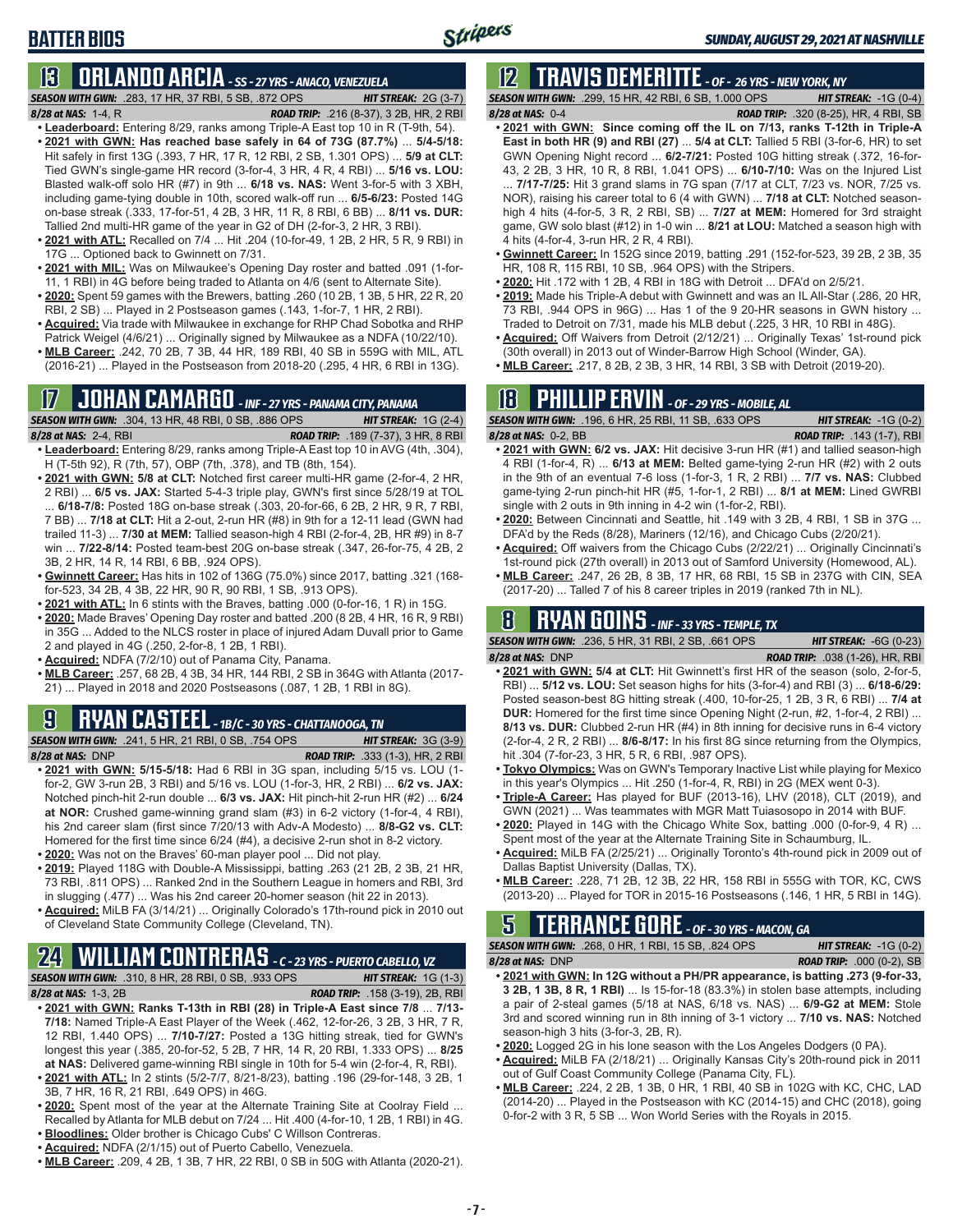# **BATTER BIOS**

# **13 ORLANDO ARCIA** *- SS - 27 YRS - ANACO, VENEZUELA*

*SEASON WITH GWN:*.283, 17 HR, 37 RBI, 5 SB, .872 OPS *HIT STREAK:* 2G (3-7) *8/28 at NAS:*1-4, R *ROAD TRIP:* .216 (8-37), 3 2B, HR, 2 RBI

- 
- **• Leaderboard:** Entering 8/29, ranks among Triple-A East top 10 in R (T-9th, 54). **• 2021 with GWN: Has reached base safely in 64 of 73G (87.7%)** ... **5/4-5/18:**  Hit safely in first 13G (.393, 7 HR, 17 R, 12 RBI, 2 SB, 1.301 OPS) ... **5/9 at CLT:** Tied GWN's single-game HR record (3-for-4, 3 HR, 4 R, 4 RBI) ... **5/16 vs. LOU:** Blasted walk-off solo HR (#7) in 9th ... **6/18 vs. NAS:** Went 3-for-5 with 3 XBH, including game-tying double in 10th, scored walk-off run ... **6/5-6/23:** Posted 14G on-base streak (.333, 17-for-51, 4 2B, 3 HR, 11 R, 8 RBI, 6 BB) ... **8/11 vs. DUR:** Tallied 2nd multi-HR game of the year in G2 of DH (2-for-3, 2 HR, 3 RBI).
- **• 2021 with ATL:** Recalled on 7/4 ... Hit .204 (10-for-49, 1 2B, 2 HR, 5 R, 9 RBI) in 17G ... Optioned back to Gwinnett on 7/31.
- **• 2021 with MIL:** Was on Milwaukee's Opening Day roster and batted .091 (1-for-11, 1 RBI) in 4G before being traded to Atlanta on 4/6 (sent to Alternate Site).
- **• 2020:** Spent 59 games with the Brewers, batting .260 (10 2B, 1 3B, 5 HR, 22 R, 20 RBI, 2 SB) ... Played in 2 Postseason games (.143, 1-for-7, 1 HR, 2 RBI).
- **• Acquired:** Via trade with Milwaukee in exchange for RHP Chad Sobotka and RHP Patrick Weigel (4/6/21) ... Originally signed by Milwaukee as a NDFA (10/22/10).
- **• MLB Career:** .242, 70 2B, 7 3B, 44 HR, 189 RBI, 40 SB in 559G with MIL, ATL (2016-21) ... Played in the Postseason from 2018-20 (.295, 4 HR, 6 RBI in 13G).

# **17 JOHAN CAMARGO** *- INF - 27 YRS - PANAMA CITY, PANAMA*

*SEASON WITH GWN:*.304, 13 HR, 48 RBI, 0 SB, .886 OPS *HIT STREAK:* 1G (2-4) *8/28 at NAS:* 2-4, RBI *ROAD TRIP:* .189 (7-37), 3 HR, 8 RBI

- **• Leaderboard:** Entering 8/29, ranks among Triple-A East top 10 in AVG (4th, .304), H (T-5th 92), R (7th, 57), OBP (7th, .378), and TB (8th, 154).
- **• 2021 with GWN: 5/8 at CLT:** Notched first career multi-HR game (2-for-4, 2 HR, 2 RBI) ... **6/5 vs. JAX:** Started 5-4-3 triple play, GWN's first since 5/28/19 at TOL ... **6/18-7/8:** Posted 18G on-base streak (.303, 20-for-66, 6 2B, 2 HR, 9 R, 7 RBI, 7 BB) ... **7/18 at CLT:** Hit a 2-out, 2-run HR (#8) in 9th for a 12-11 lead (GWN had trailed 11-3) ... **7/30 at MEM:** Tallied season-high 4 RBI (2-for-4, 2B, HR #9) in 8-7 win ... **7/22-8/14:** Posted team-best 20G on-base streak (.347, 26-for-75, 4 2B, 2 3B, 2 HR, 14 R, 14 RBI, 6 BB, .924 OPS).
- **• Gwinnett Career:** Has hits in 102 of 136G (75.0%) since 2017, batting .321 (168 for-523, 34 2B, 4 3B, 22 HR, 90 R, 90 RBI, 1 SB, .913 OPS).
- **• 2021 with ATL:** In 6 stints with the Braves, batting .000 (0-for-16, 1 R) in 15G.
- **• 2020:** Made Braves' Opening Day roster and batted .200 (8 2B, 4 HR, 16 R, 9 RBI) in 35G ... Added to the NLCS roster in place of injured Adam Duvall prior to Game 2 and played in 4G (.250, 2-for-8, 1 2B, 1 RBI).
- **• Acquired:** NDFA (7/2/10) out of Panama City, Panama.
- **• MLB Career:** .257, 68 2B, 4 3B, 34 HR, 144 RBI, 2 SB in 364G with Atlanta (2017- 21) ... Played in 2018 and 2020 Postseasons (.087, 1 2B, 1 RBI in 8G).

# **9 RYAN CASTEEL** *- 1B/C - 30 YRS - CHATTANOOGA, TN*

*SEASON WITH GWN:*.241, 5 HR, 21 RBI, 0 SB, .754 OPS *HIT STREAK:* 3G (3-9) *8/28 at NAS:*DNP *ROAD TRIP:* .333 (1-3), HR, 2 RBI

- **• 2021 with GWN: 5/15-5/18:** Had 6 RBI in 3G span, including 5/15 vs. LOU (1 for-2, GW 3-run 2B, 3 RBI) and 5/16 vs. LOU (1-for-3, HR, 2 RBI) ... **6/2 vs. JAX:** Notched pinch-hit 2-run double ... **6/3 vs. JAX:** Hit pinch-hit 2-run HR (#2) ... **6/24 at NOR:** Crushed game-winning grand slam (#3) in 6-2 victory (1-for-4, 4 RBI), his 2nd career slam (first since 7/20/13 with Adv-A Modesto) ... **8/8-G2 vs. CLT:** Homered for the first time since 6/24 (#4), a decisive 2-run shot in 8-2 victory.
- **• 2020:** Was not on the Braves' 60-man player pool ... Did not play.
- **• 2019:** Played 118G with Double-A Mississippi, batting .263 (21 2B, 2 3B, 21 HR, 73 RBI, .811 OPS) ... Ranked 2nd in the Southern League in homers and RBI, 3rd in slugging (.477) ... Was his 2nd career 20-homer season (hit 22 in 2013).
- **• Acquired:** MiLB FA (3/14/21) ... Originally Colorado's 17th-round pick in 2010 out of Cleveland State Community College (Cleveland, TN).

# **24 WILLIAM CONTRERAS** *- C - 23 YRS - PUERTO CABELLO, VZ*

*SEASON WITH GWN:*.310, 8 HR, 28 RBI, 0 SB, .933 OPS *HIT STREAK:* 1G (1-3) *8/28 at NAS:* 1-3, 2B *ROAD TRIP:* .158 (3-19), 2B, RBI

- **• 2021 with GWN: Ranks T-13th in RBI (28) in Triple-A East since 7/8** ... **7/13- 7/18:** Named Triple-A East Player of the Week (.462, 12-for-26, 3 2B, 3 HR, 7 R, 12 RBI, 1.440 OPS) ... **7/10-7/27:** Posted a 13G hitting streak, tied for GWN's longest this year (.385, 20-for-52, 5 2B, 7 HR, 14 R, 20 RBI, 1.333 OPS) ... **8/25 at NAS:** Delivered game-winning RBI single in 10th for 5-4 win (2-for-4, R, RBI).
- **• 2021 with ATL:** In 2 stints (5/2-7/7, 8/21-8/23), batting .196 (29-for-148, 3 2B, 1 3B, 7 HR, 16 R, 21 RBI, .649 OPS) in 46G.
- **• 2020:** Spent most of the year at the Alternate Training Site at Coolray Field ... Recalled by Atlanta for MLB debut on 7/24 ... Hit .400 (4-for-10, 1 2B, 1 RBI) in 4G.
- **• Bloodlines:** Older brother is Chicago Cubs' C Willson Contreras.
- **• Acquired:** NDFA (2/1/15) out of Puerto Cabello, Venezuela.
- **• MLB Career:** .209, 4 2B, 1 3B, 7 HR, 22 RBI, 0 SB in 50G with Atlanta (2020-21).

# **12 TRAVIS DEMERITTE** *- OF - 26 YRS - NEW YORK, NY*

*SEASON WITH GWN:*.299, 15 HR, 42 RBI, 6 SB, 1.000 OPS *HIT STREAK:* -1G (0-4) *8/28 at NAS:*0-4 *ROAD TRIP:* .320 (8-25), HR, 4 RBI, SB

- **• 2021 with GWN: Since coming off the IL on 7/13, ranks T-12th in Triple-A East in both HR (9) and RBI (27)** ... **5/4 at CLT:** Tallied 5 RBI (3-for-6, HR) to set GWN Opening Night record ... **6/2-7/21:** Posted 10G hitting streak (.372, 16-for-43, 2 2B, 3 HR, 10 R, 8 RBI, 1.041 OPS) ... **6/10-7/10:** Was on the Injured List ... **7/17-7/25:** Hit 3 grand slams in 7G span (7/17 at CLT, 7/23 vs. NOR, 7/25 vs. NOR), raising his career total to 6 (4 with GWN) ... **7/18 at CLT:** Notched seasonhigh 4 hits (4-for-5, 3 R, 2 RBI, SB) ... **7/27 at MEM:** Homered for 3rd straight game, GW solo blast (#12) in 1-0 win ... **8/21 at LOU:** Matched a season high with 4 hits (4-for-4, 3-run HR, 2 R, 4 RBI).
- **• Gwinnett Career:** In 152G since 2019, batting .291 (152-for-523, 39 2B, 2 3B, 35 HR, 108 R, 115 RBI, 10 SB, .964 OPS) with the Stripers.
- **• 2020:** Hit .172 with 1 2B, 4 RBI in 18G with Detroit ... DFA'd on 2/5/21.
- **• 2019:** Made his Triple-A debut with Gwinnett and was an IL All-Star (.286, 20 HR, 73 RBI, .944 OPS in 96G) ... Has 1 of the 9 20-HR seasons in GWN history ... Traded to Detroit on 7/31, made his MLB debut (.225, 3 HR, 10 RBI in 48G).
- **• Acquired:** Off Waivers from Detroit (2/12/21) ... Originally Texas' 1st-round pick (30th overall) in 2013 out of Winder-Barrow High School (Winder, GA).
- **• MLB Career:** .217, 8 2B, 2 3B, 3 HR, 14 RBI, 3 SB with Detroit (2019-20).

# **18 PHILLIP ERVIN** *- OF - 29 YRS - MOBILE, AL*

*SEASON WITH GWN:*.196, 6 HR, 25 RBI, 11 SB, .633 OPS *HIT STREAK:* -1G (0-2) *8/28 at NAS:*0-2, BB *ROAD TRIP:* .143 (1-7), RBI

- **• 2021 with GWN: 6/2 vs. JAX:** Hit decisive 3-run HR (#1) and tallied season-high 4 RBI (1-for-4, R) ... **6/13 at MEM:** Belted game-tying 2-run HR (#2) with 2 outs in the 9th of an eventual 7-6 loss (1-for-3, 1 R, 2 RBI) ... **7/7 vs. NAS:** Clubbed game-tying 2-run pinch-hit HR (#5, 1-for-1, 2 RBI) ... **8/1 at MEM:** Lined GWRBI single with 2 outs in 9th inning in 4-2 win (1-for-2, RBI).
- **• 2020:** Between Cincinnati and Seattle, hit .149 with 3 2B, 4 RBI, 1 SB in 37G ... DFA'd by the Reds (8/28), Mariners (12/16), and Chicago Cubs (2/20/21).
- **• Acquired:** Off waivers from the Chicago Cubs (2/22/21) ... Originally Cincinnati's 1st-round pick (27th overall) in 2013 out of Samford University (Homewood, AL).
- **• MLB Career:** .247, 26 2B, 8 3B, 17 HR, 68 RBI, 15 SB in 237G with CIN, SEA (2017-20) ... Talled 7 of his 8 career triples in 2019 (ranked 7th in NL).

### **8 RYAN GOINS** *- INF - 33 YRS - TEMPLE, TX*

*SEASON WITH GWN:*.236, 5 HR, 31 RBI, 2 SB, .661 OPS *HIT STREAK:* -6G (0-23)

- *8/28 at NAS:*DNP *ROAD TRIP:* .038 (1-26), HR, RBI **• 2021 with GWN: 5/4 at CLT:** Hit Gwinnett's first HR of the season (solo, 2-for-5, RBI) ... **5/12 vs. LOU:** Set season highs for hits (3-for-4) and RBI (3) ... **6/18-6/29:** Posted season-best 8G hitting streak (.400, 10-for-25, 1 2B, 3 R, 6 RBI) ... **7/4 at DUR:** Homered for the first time since Opening Night (2-run, #2, 1-for-4, 2 RBI) ... **8/13 vs. DUR:** Clubbed 2-run HR (#4) in 8th inning for decisive runs in 6-4 victory (2-for-4, 2 R, 2 RBI) ... **8/6-8/17:** In his first 8G since returning from the Olympics, hit .304 (7-for-23, 3 HR, 5 R, 6 RBI, .987 OPS).
- **• Tokyo Olympics:** Was on GWN's Temporary Inactive List while playing for Mexico in this year's Olympics ... Hit .250 (1-for-4, R, RBI) in 2G (MEX went 0-3).
- **• Triple-A Career:** Has played for BUF (2013-16), LHV (2018), CLT (2019), and GWN (2021) ... Was teammates with MGR Matt Tuiasosopo in 2014 with BUF.
- **• 2020:** Played in 14G with the Chicago White Sox, batting .000 (0-for-9, 4 R) ... Spent most of the year at the Alternate Training Site in Schaumburg, IL.
- **• Acquired:** MiLB FA (2/25/21) ... Originally Toronto's 4th-round pick in 2009 out of Dallas Baptist University (Dallas, TX).
- **• MLB Career:** .228, 71 2B, 12 3B, 22 HR, 158 RBI in 555G with TOR, KC, CWS (2013-20) ... Played for TOR in 2015-16 Postseasons (.146, 1 HR, 5 RBI in 14G).

### **5 TERRANCE GORE** *- OF - 30 YRS - MACON, GA SEASON WITH GWN:*.268, 0 HR, 1 RBI, 15 SB, .824 OPS *HIT STREAK:* -1G (0-2)

*8/28 at NAS:*DNP *ROAD TRIP:* .000 (0-2), SB

- **• 2021 with GWN: In 12G without a PH/PR appearance, is batting .273 (9-for-33, 3 2B, 1 3B, 8 R, 1 RBI)** ... Is 15-for-18 (83.3%) in stolen base attempts, including a pair of 2-steal games (5/18 at NAS, 6/18 vs. NAS) ... **6/9-G2 at MEM:** Stole 3rd and scored winning run in 8th inning of 3-1 victory ... **7/10 vs. NAS:** Notched season-high 3 hits (3-for-3, 2B, R).
- **• 2020:** Logged 2G in his lone season with the Los Angeles Dodgers (0 PA).
- **• Acquired:** MiLB FA (2/18/21) ... Originally Kansas City's 20th-round pick in 2011 out of Gulf Coast Community College (Panama City, FL).
- **• MLB Career:** .224, 2 2B, 1 3B, 0 HR, 1 RBI, 40 SB in 102G with KC, CHC, LAD (2014-20) ... Played in the Postseason with KC (2014-15) and CHC (2018), going 0-for-2 with 3 R, 5 SB ... Won World Series with the Royals in 2015.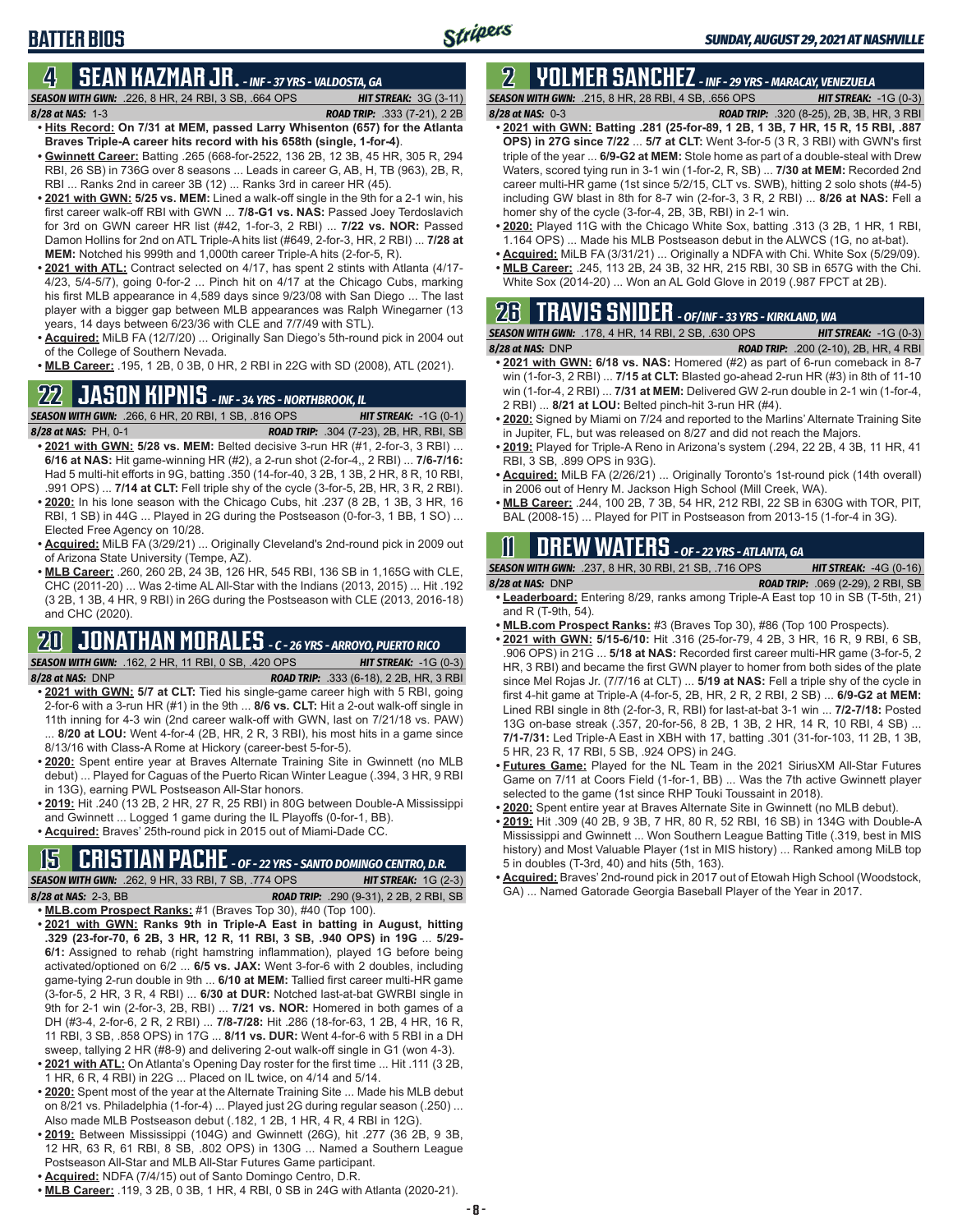# **BATTER BIOS**

### **4 SEAN KAZMAR JR.** *- INF - 37 YRS - VALDOSTA, GA*

- *SEASON WITH GWN:*.226, 8 HR, 24 RBI, 3 SB, .664 OPS *HIT STREAK:* 3G (3-11) *8/28 at NAS:*1-3 *ROAD TRIP:* .333 (7-21), 2 2B
- **• Hits Record: On 7/31 at MEM, passed Larry Whisenton (657) for the Atlanta Braves Triple-A career hits record with his 658th (single, 1-for-4)**. **• Gwinnett Career:** Batting .265 (668-for-2522, 136 2B, 12 3B, 45 HR, 305 R, 294
- RBI, 26 SB) in 736G over 8 seasons ... Leads in career G, AB, H, TB (963), 2B, R, RBI ... Ranks 2nd in career 3B (12) ... Ranks 3rd in career HR (45).
- **• 2021 with GWN: 5/25 vs. MEM:** Lined a walk-off single in the 9th for a 2-1 win, his first career walk-off RBI with GWN ... **7/8-G1 vs. NAS:** Passed Joey Terdoslavich for 3rd on GWN career HR list (#42, 1-for-3, 2 RBI) ... **7/22 vs. NOR:** Passed Damon Hollins for 2nd on ATL Triple-A hits list (#649, 2-for-3, HR, 2 RBI) ... **7/28 at MEM:** Notched his 999th and 1,000th career Triple-A hits (2-for-5, R).
- **• 2021 with ATL:** Contract selected on 4/17, has spent 2 stints with Atlanta (4/17- 4/23, 5/4-5/7), going 0-for-2 ... Pinch hit on 4/17 at the Chicago Cubs, marking his first MLB appearance in 4,589 days since 9/23/08 with San Diego ... The last player with a bigger gap between MLB appearances was Ralph Winegarner (13 years, 14 days between 6/23/36 with CLE and 7/7/49 with STL).
- **• Acquired:** MiLB FA (12/7/20) ... Originally San Diego's 5th-round pick in 2004 out of the College of Southern Nevada.
- **• MLB Career:** .195, 1 2B, 0 3B, 0 HR, 2 RBI in 22G with SD (2008), ATL (2021).

# **22 JASON KIPNIS** *- INF - 34 YRS - NORTHBROOK, IL*

*SEASON WITH GWN:*.266, 6 HR, 20 RBI, 1 SB, .816 OPS *HIT STREAK:* -1G (0-1) *8/28 at NAS:*PH, 0-1 *ROAD TRIP:* .304 (7-23), 2B, HR, RBI, SB

- **• 2021 with GWN: 5/28 vs. MEM:** Belted decisive 3-run HR (#1, 2-for-3, 3 RBI) ... **6/16 at NAS:** Hit game-winning HR (#2), a 2-run shot (2-for-4,, 2 RBI) ... **7/6-7/16:** Had 5 multi-hit efforts in 9G, batting .350 (14-for-40, 3 2B, 1 3B, 2 HR, 8 R, 10 RBI, .991 OPS) ... **7/14 at CLT:** Fell triple shy of the cycle (3-for-5, 2B, HR, 3 R, 2 RBI).
- **• 2020:** In his lone season with the Chicago Cubs, hit .237 (8 2B, 1 3B, 3 HR, 16 RBI, 1 SB) in 44G ... Played in 2G during the Postseason (0-for-3, 1 BB, 1 SO) ... Elected Free Agency on 10/28.
- **• Acquired:** MiLB FA (3/29/21) ... Originally Cleveland's 2nd-round pick in 2009 out of Arizona State University (Tempe, AZ).
- **• MLB Career:** .260, 260 2B, 24 3B, 126 HR, 545 RBI, 136 SB in 1,165G with CLE, CHC (2011-20) ... Was 2-time AL All-Star with the Indians (2013, 2015) ... Hit .192 (3 2B, 1 3B, 4 HR, 9 RBI) in 26G during the Postseason with CLE (2013, 2016-18) and CHC (2020).

### **20 JONATHAN MORALES** *- C - 26 YRS - ARROYO, PUERTO RICO SEASON WITH GWN:*.162, 2 HR, 11 RBI, 0 SB, .420 OPS *HIT STREAK:* -1G (0-3)

- *8/28 at NAS:*DNP *ROAD TRIP:* .333 (6-18), 2 2B, HR, 3 RBI **• 2021 with GWN: 5/7 at CLT:** Tied his single-game career high with 5 RBI, going 2-for-6 with a 3-run HR (#1) in the 9th ... **8/6 vs. CLT:** Hit a 2-out walk-off single in 11th inning for 4-3 win (2nd career walk-off with GWN, last on 7/21/18 vs. PAW) ... **8/20 at LOU:** Went 4-for-4 (2B, HR, 2 R, 3 RBI), his most hits in a game since 8/13/16 with Class-A Rome at Hickory (career-best 5-for-5).
- **• 2020:** Spent entire year at Braves Alternate Training Site in Gwinnett (no MLB debut) ... Played for Caguas of the Puerto Rican Winter League (.394, 3 HR, 9 RBI in 13G), earning PWL Postseason All-Star honors.
- **• 2019:** Hit .240 (13 2B, 2 HR, 27 R, 25 RBI) in 80G between Double-A Mississippi and Gwinnett ... Logged 1 game during the IL Playoffs (0-for-1, BB).
- **• Acquired:** Braves' 25th-round pick in 2015 out of Miami-Dade CC.

# **15 CRISTIAN PACHE** *- OF - 22 YRS - SANTO DOMINGO CENTRO, D.R.*

*SEASON WITH GWN:*.262, 9 HR, 33 RBI, 7 SB, .774 OPS *HIT STREAK:* 1G (2-3) *8/28 at NAS:* 2-3, BB *ROAD TRIP:* .290 (9-31), 2 2B, 2 RBI, SB

- **• MLB.com Prospect Ranks:** #1 (Braves Top 30), #40 (Top 100).
- **• 2021 with GWN: Ranks 9th in Triple-A East in batting in August, hitting .329 (23-for-70, 6 2B, 3 HR, 12 R, 11 RBI, 3 SB, .940 OPS) in 19G** ... **5/29- 6/1:** Assigned to rehab (right hamstring inflammation), played 1G before being activated/optioned on 6/2 ... **6/5 vs. JAX:** Went 3-for-6 with 2 doubles, including game-tying 2-run double in 9th ... **6/10 at MEM:** Tallied first career multi-HR game (3-for-5, 2 HR, 3 R, 4 RBI) ... **6/30 at DUR:** Notched last-at-bat GWRBI single in 9th for 2-1 win (2-for-3, 2B, RBI) ... **7/21 vs. NOR:** Homered in both games of a DH (#3-4, 2-for-6, 2 R, 2 RBI) ... **7/8-7/28:** Hit .286 (18-for-63, 1 2B, 4 HR, 16 R, 11 RBI, 3 SB, .858 OPS) in 17G ... **8/11 vs. DUR:** Went 4-for-6 with 5 RBI in a DH sweep, tallying 2 HR (#8-9) and delivering 2-out walk-off single in G1 (won 4-3).
- **• 2021 with ATL:** On Atlanta's Opening Day roster for the first time ... Hit .111 (3 2B, 1 HR, 6 R, 4 RBI) in 22G ... Placed on IL twice, on 4/14 and 5/14.
- **• 2020:** Spent most of the year at the Alternate Training Site ... Made his MLB debut on 8/21 vs. Philadelphia (1-for-4) ... Played just 2G during regular season (.250) ... Also made MLB Postseason debut (.182, 1 2B, 1 HR, 4 R, 4 RBI in 12G).
- **• 2019:** Between Mississippi (104G) and Gwinnett (26G), hit .277 (36 2B, 9 3B, 12 HR, 63 R, 61 RBI, 8 SB, .802 OPS) in 130G ... Named a Southern League Postseason All-Star and MLB All-Star Futures Game participant.
- **• Acquired:** NDFA (7/4/15) out of Santo Domingo Centro, D.R.
- **• MLB Career:** .119, 3 2B, 0 3B, 1 HR, 4 RBI, 0 SB in 24G with Atlanta (2020-21).

### **2 YOLMER SANCHEZ** *- INF - 29 YRS - MARACAY, VENEZUELA SEASON WITH GWN:*.215, 8 HR, 28 RBI, 4 SB, .656 OPS *HIT STREAK:* -1G (0-3)

*8/28 at NAS:*0-3 *ROAD TRIP:* .320 (8-25), 2B, 3B, HR, 3 RBI

- **• 2021 with GWN: Batting .281 (25-for-89, 1 2B, 1 3B, 7 HR, 15 R, 15 RBI, .887 OPS) in 27G since 7/22** ... **5/7 at CLT:** Went 3-for-5 (3 R, 3 RBI) with GWN's first triple of the year ... **6/9-G2 at MEM:** Stole home as part of a double-steal with Drew Waters, scored tying run in 3-1 win (1-for-2, R, SB) ... **7/30 at MEM:** Recorded 2nd career multi-HR game (1st since 5/2/15, CLT vs. SWB), hitting 2 solo shots (#4-5) including GW blast in 8th for 8-7 win (2-for-3, 3 R, 2 RBI) ... **8/26 at NAS:** Fell a homer shy of the cycle (3-for-4, 2B, 3B, RBI) in 2-1 win.
- **• 2020:** Played 11G with the Chicago White Sox, batting .313 (3 2B, 1 HR, 1 RBI, 1.164 OPS) ... Made his MLB Postseason debut in the ALWCS (1G, no at-bat).
- **• Acquired:** MiLB FA (3/31/21) ... Originally a NDFA with Chi. White Sox (5/29/09). **• MLB Career:** .245, 113 2B, 24 3B, 32 HR, 215 RBI, 30 SB in 657G with the Chi.
- White Sox (2014-20) ... Won an AL Gold Glove in 2019 (.987 FPCT at 2B).

# **26 TRAVIS SNIDER** *- OF/INF - 33 YRS - KIRKLAND, WA*

| <b>SEASON WITH GWN: .178, 4 HR, 14 RBI, 2 SB, .630 OPS</b> | <b>HIT STREAK:</b> $-1G(0-3)$                |
|------------------------------------------------------------|----------------------------------------------|
| $8/28$ at NAS: $DNP$                                       | <b>ROAD TRIP:</b> .200 (2-10), 2B, HR, 4 RBI |

- **• 2021 with GWN: 6/18 vs. NAS:** Homered (#2) as part of 6-run comeback in 8-7 win (1-for-3, 2 RBI) ... **7/15 at CLT:** Blasted go-ahead 2-run HR (#3) in 8th of 11-10 win (1-for-4, 2 RBI) ... **7/31 at MEM:** Delivered GW 2-run double in 2-1 win (1-for-4, 2 RBI) ... **8/21 at LOU:** Belted pinch-hit 3-run HR (#4).
- **• 2020:** Signed by Miami on 7/24 and reported to the Marlins' Alternate Training Site in Jupiter, FL, but was released on 8/27 and did not reach the Majors.
- **• 2019:** Played for Triple-A Reno in Arizona's system (.294, 22 2B, 4 3B, 11 HR, 41 RBI, 3 SB, .899 OPS in 93G).
- **• Acquired:** MiLB FA (2/26/21) ... Originally Toronto's 1st-round pick (14th overall) in 2006 out of Henry M. Jackson High School (Mill Creek, WA).
- **• MLB Career:** .244, 100 2B, 7 3B, 54 HR, 212 RBI, 22 SB in 630G with TOR, PIT, BAL (2008-15) ... Played for PIT in Postseason from 2013-15 (1-for-4 in 3G).

# **11 Drew WATERS** *- OF - 22 YRS - ATLANTA, GA*

*SEASON WITH GWN:*.237, 8 HR, 30 RBI, 21 SB, .716 OPS *HIT STREAK:* -4G (0-16) *8/28 at NAS:*DNP *ROAD TRIP:* .069 (2-29), 2 RBI, SB

- **• Leaderboard:** Entering 8/29, ranks among Triple-A East top 10 in SB (T-5th, 21) and R (T-9th, 54).
- **• MLB.com Prospect Ranks:** #3 (Braves Top 30), #86 (Top 100 Prospects).
- **• 2021 with GWN: 5/15-6/10:** Hit .316 (25-for-79, 4 2B, 3 HR, 16 R, 9 RBI, 6 SB, .906 OPS) in 21G ... **5/18 at NAS:** Recorded first career multi-HR game (3-for-5, 2 HR, 3 RBI) and became the first GWN player to homer from both sides of the plate since Mel Rojas Jr. (7/7/16 at CLT) ... **5/19 at NAS:** Fell a triple shy of the cycle in first 4-hit game at Triple-A (4-for-5, 2B, HR, 2 R, 2 RBI, 2 SB) ... **6/9-G2 at MEM:** Lined RBI single in 8th (2-for-3, R, RBI) for last-at-bat 3-1 win ... **7/2-7/18:** Posted 13G on-base streak (.357, 20-for-56, 8 2B, 1 3B, 2 HR, 14 R, 10 RBI, 4 SB) ... **7/1-7/31:** Led Triple-A East in XBH with 17, batting .301 (31-for-103, 11 2B, 1 3B, 5 HR, 23 R, 17 RBI, 5 SB, .924 OPS) in 24G.
- **• Futures Game:** Played for the NL Team in the 2021 SiriusXM All-Star Futures Game on 7/11 at Coors Field (1-for-1, BB) ... Was the 7th active Gwinnett player selected to the game (1st since RHP Touki Toussaint in 2018).
- **• 2020:** Spent entire year at Braves Alternate Site in Gwinnett (no MLB debut).
- **• 2019:** Hit .309 (40 2B, 9 3B, 7 HR, 80 R, 52 RBI, 16 SB) in 134G with Double-A Mississippi and Gwinnett ... Won Southern League Batting Title (.319, best in MIS history) and Most Valuable Player (1st in MIS history) ... Ranked among MiLB top 5 in doubles (T-3rd, 40) and hits (5th, 163).
- **• Acquired:** Braves' 2nd-round pick in 2017 out of Etowah High School (Woodstock, GA) ... Named Gatorade Georgia Baseball Player of the Year in 2017.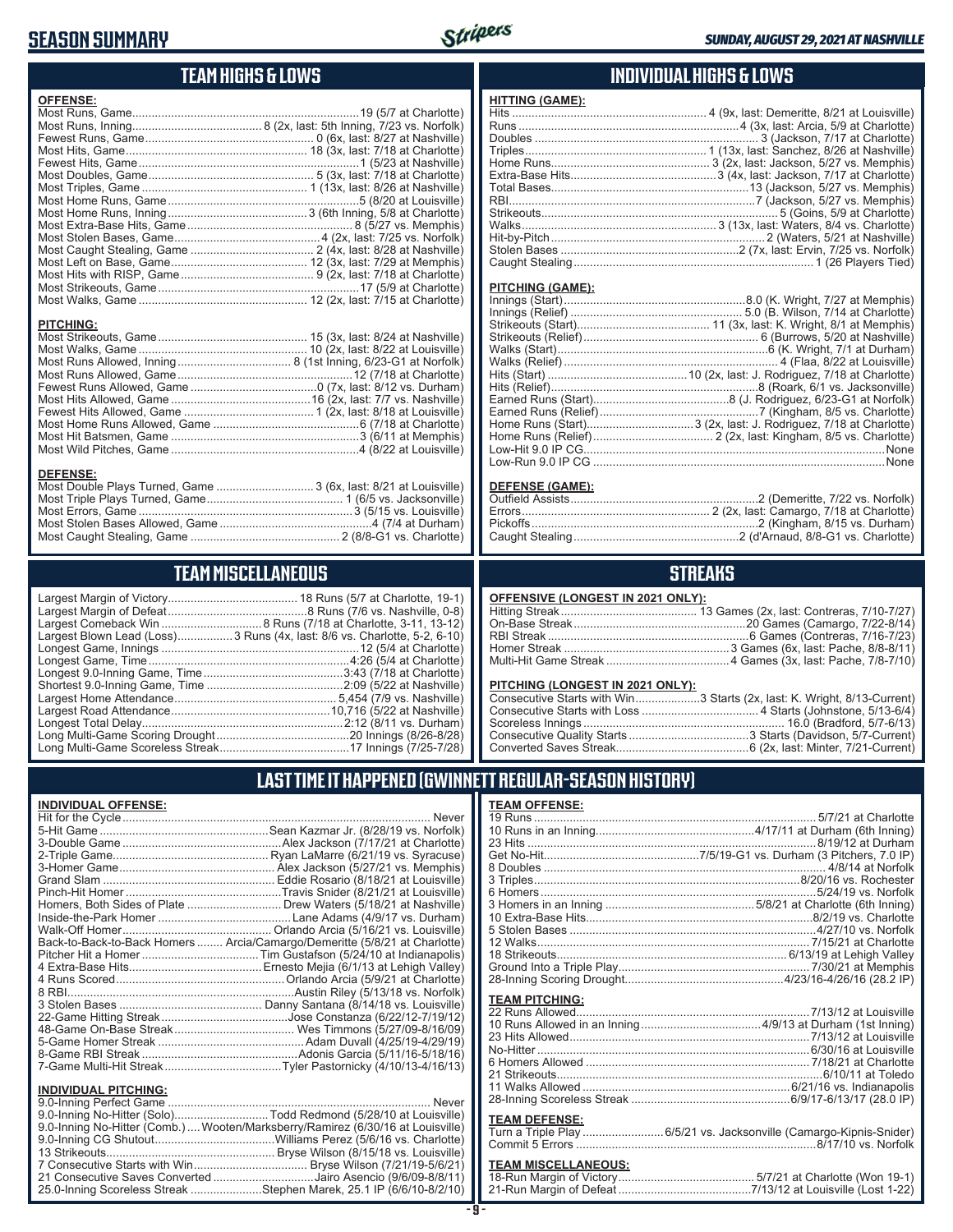# **SEASON SUMMARY**



# **TEAM HIGHS & LOWS**

| <b>OFFENSE:</b>                                                                     |  |
|-------------------------------------------------------------------------------------|--|
|                                                                                     |  |
|                                                                                     |  |
|                                                                                     |  |
|                                                                                     |  |
|                                                                                     |  |
|                                                                                     |  |
|                                                                                     |  |
|                                                                                     |  |
|                                                                                     |  |
|                                                                                     |  |
|                                                                                     |  |
|                                                                                     |  |
|                                                                                     |  |
|                                                                                     |  |
|                                                                                     |  |
|                                                                                     |  |
| <b>PITCHING:</b>                                                                    |  |
| <b>DEFENSE:</b><br>Most Double Plays Turned, Game  3 (6x, last: 8/21 at Louisville) |  |

### **TEAM MISCELLANEOUS**

Most Caught Stealing, Game .............................................. 2 (8/8-G1 vs. Charlotte)

| Largest Blown Lead (Loss) 3 Runs (4x, last: 8/6 vs. Charlotte, 5-2, 6-10) |
|---------------------------------------------------------------------------|
|                                                                           |
|                                                                           |
|                                                                           |
|                                                                           |
|                                                                           |
|                                                                           |
|                                                                           |
|                                                                           |
|                                                                           |

### **INDIVIDUAL HIGHS & LOWS**

### **PITCHING (GAME):**

### **DEFENSE (GAME):**

### **STREAKS**

### **OFFENSIVE (LONGEST IN 2021 ONLY):**

### **PITCHING (LONGEST IN 2021 ONLY):**

| Consecutive Starts with Win3 Starts (2x, last: K. Wright, 8/13-Current) |
|-------------------------------------------------------------------------|
|                                                                         |
|                                                                         |
|                                                                         |
|                                                                         |
|                                                                         |

## **LAST TIME IT HAPPENED (GWINNETT REGULAR-SEASON HISTORY)**

### **INDIVIDUAL OFFENSE:**

|                                                                                                                               | Homers, Both Sides of Plate  Drew Waters (5/18/21 at Nashville)            |
|-------------------------------------------------------------------------------------------------------------------------------|----------------------------------------------------------------------------|
|                                                                                                                               |                                                                            |
|                                                                                                                               |                                                                            |
|                                                                                                                               | Back-to-Back-to-Back Homers  Arcia/Camargo/Demeritte (5/8/21 at Charlotte) |
|                                                                                                                               |                                                                            |
|                                                                                                                               |                                                                            |
|                                                                                                                               |                                                                            |
|                                                                                                                               |                                                                            |
|                                                                                                                               |                                                                            |
|                                                                                                                               |                                                                            |
|                                                                                                                               |                                                                            |
|                                                                                                                               |                                                                            |
|                                                                                                                               |                                                                            |
|                                                                                                                               | 7-Game Multi-Hit StreakTyler Pastornicky (4/10/13-4/16/13)                 |
| <b>INDIVIDUAL PITCHING:</b>                                                                                                   |                                                                            |
| $\bigcap_{i=1}^n A_i$ and $\bigcap_{i=1}^n A_i$ and $\bigcap_{i=1}^n A_i$ and $\bigcap_{i=1}^n A_i$ and $\bigcap_{i=1}^n A_i$ | $k + 1 - 1 - 1$                                                            |

| <u>INDIVIDUAL PITUMING:</u>                                                     |  |
|---------------------------------------------------------------------------------|--|
|                                                                                 |  |
| 9.0-Inning No-Hitter (Solo)Todd Redmond (5/28/10 at Louisville)                 |  |
| 9.0-Inning No-Hitter (Comb.)  Wooten/Marksberry/Ramirez (6/30/16 at Louisville) |  |
|                                                                                 |  |
|                                                                                 |  |
|                                                                                 |  |
| 21 Consecutive Saves Converted Jairo Asencio (9/6/09-8/8/11)                    |  |
| 25.0-Inning Scoreless Streak Stephen Marek, 25.1 IP (6/6/10-8/2/10)             |  |
|                                                                                 |  |

**- 9 -**

| <b>TEAM OFFENSE:</b>  |                                                         |
|-----------------------|---------------------------------------------------------|
|                       |                                                         |
|                       |                                                         |
|                       | 23 Hits ……………………………………………………………………………8/19/12 at Durham  |
|                       |                                                         |
|                       |                                                         |
|                       |                                                         |
|                       |                                                         |
|                       |                                                         |
|                       |                                                         |
|                       |                                                         |
|                       | 12 Walks………………………………………………………………………7/15/21 at Charlotte |
|                       |                                                         |
|                       |                                                         |
|                       |                                                         |
| <b>TEAM PITCHING:</b> |                                                         |
|                       |                                                         |
|                       |                                                         |
| 23 Hits Allowed       | 7/13/12 at Louisville                                   |

### **TEAM DEFENSE:**

| Turn a Triple Play 6/5/21 vs. Jacksonville (Camargo-Kipnis-Snider) |  |
|--------------------------------------------------------------------|--|
|                                                                    |  |

| <b>TEAM MISCELLANEOUS:</b> |  |
|----------------------------|--|
|                            |  |
|                            |  |

| mphis)           | 8 Doub   |
|------------------|----------|
| iisville)        | 3 Triple |
| ۱ د ۱۱۱ نه د د ک |          |